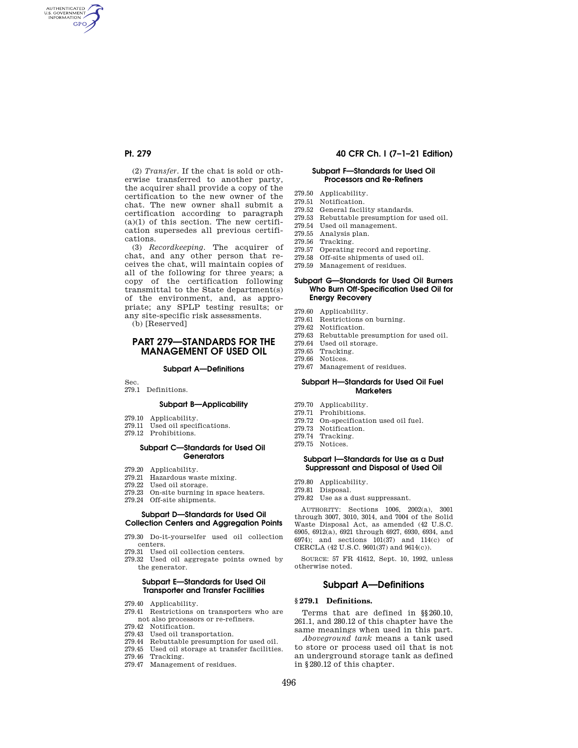AUTHENTICATED<br>U.S. GOVERNMENT<br>INFORMATION **GPO** 

> (2) *Transfer.* If the chat is sold or otherwise transferred to another party, the acquirer shall provide a copy of the certification to the new owner of the chat. The new owner shall submit a certification according to paragraph  $(a)(1)$  of this section. The new certification supersedes all previous certifications.

> (3) *Recordkeeping.* The acquirer of chat, and any other person that receives the chat, will maintain copies of all of the following for three years; a copy of the certification following transmittal to the State department(s) of the environment, and, as appropriate; any SPLP testing results; or any site-specific risk assessments.

(b) [Reserved]

# **PART 279—STANDARDS FOR THE MANAGEMENT OF USED OIL**

#### **Subpart A—Definitions**

Sec.

279.1 Definitions.

#### **Subpart B—Applicability**

- 279.10 Applicability.
- 279.11 Used oil specifications.
- 279.12 Prohibitions.

### **Subpart C—Standards for Used Oil Generators**

- 279.20 Applicability.
- 279.21 Hazardous waste mixing.
- 279.22 Used oil storage.
- 279.23 On-site burning in space heaters.
- 279.24 Off-site shipments.

# **Subpart D—Standards for Used Oil Collection Centers and Aggregation Points**

- 279.30 Do-it-yourselfer used oil collection centers.
- 279.31 Used oil collection centers.
- 279.32 Used oil aggregate points owned by the generator.

# **Subpart E—Standards for Used Oil Transporter and Transfer Facilities**

- 279.40 Applicability.
- 279.41 Restrictions on transporters who are not also processors or re-refiners.
- 279.42 Notification.
- 279.43 Used oil transportation.
- 279.44 Rebuttable presumption for used oil.
- 279.45 Used oil storage at transfer facilities.
- 279.46 Tracking.
- 279.47 Management of residues.

# **Pt. 279 40 CFR Ch. I (7–1–21 Edition)**

#### **Subpart F—Standards for Used Oil Processors and Re-Refiners**

- 279.50 Applicability.
- 279.51 Notification.
- 279.52 General facility standards.
- 279.53 Rebuttable presumption for used oil.
- 279.54 Used oil management.
- 279.55 Analysis plan.
- 279.56 Tracking.
- 279.57 Operating record and reporting.
- 279.58 Off-site shipments of used oil.
- 279.59 Management of residues.

### **Subpart G—Standards for Used Oil Burners Who Burn Off-Specification Used Oil for Energy Recovery**

- 279.60 Applicability.
- 279.61 Restrictions on burning.
- 279.62 Notification.
- 279.63 Rebuttable presumption for used oil.
- 279.64 Used oil storage.
- 279.65 Tracking.
- 279.66 Notices.
- 279.67 Management of residues.

### **Subpart H—Standards for Used Oil Fuel Marketers**

- 279.70 Applicability.
- 279.71 Prohibitions.
- 279.72 On-specification used oil fuel.
- 279.73 Notification.
- 279.74 Tracking.
- 279.75 Notices.

#### **Subpart I—Standards for Use as a Dust Suppressant and Disposal of Used Oil**

- 279.80 Applicability.
- 279.81 Disposal.
- 279.82 Use as a dust suppressant.

AUTHORITY: Sections 1006, 2002(a), 3001 through 3007, 3010, 3014, and 7004 of the Solid Waste Disposal Act, as amended (42 U.S.C. 6905, 6912(a), 6921 through 6927, 6930, 6934, and 6974); and sections 101(37) and 114(c) of CERCLA (42 U.S.C. 9601(37) and 9614(c)).

SOURCE: 57 FR 41612, Sept. 10, 1992, unless otherwise noted.

# **Subpart A—Definitions**

#### **§ 279.1 Definitions.**

Terms that are defined in §§260.10, 261.1, and 280.12 of this chapter have the same meanings when used in this part.

*Aboveground tank* means a tank used to store or process used oil that is not an underground storage tank as defined in §280.12 of this chapter.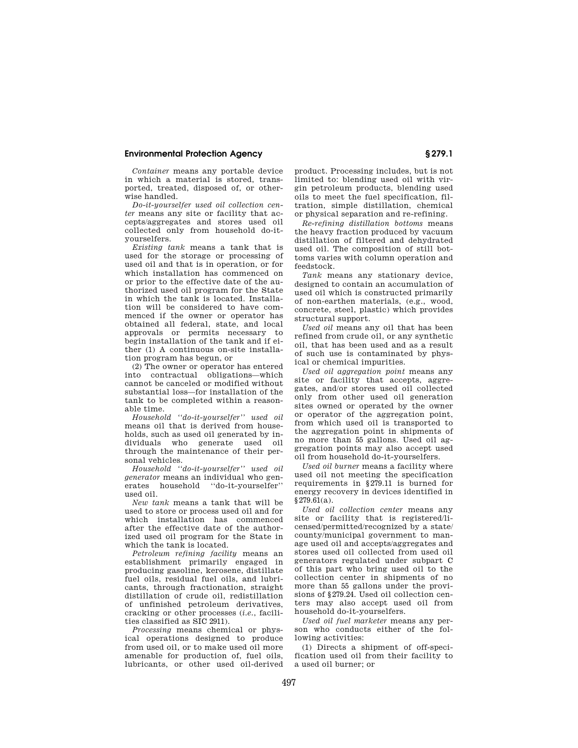*Container* means any portable device in which a material is stored, transported, treated, disposed of, or otherwise handled.

*Do-it-yourselfer used oil collection center* means any site or facility that accepts/aggregates and stores used oil collected only from household do-ityourselfers.

*Existing tank* means a tank that is used for the storage or processing of used oil and that is in operation, or for which installation has commenced on or prior to the effective date of the authorized used oil program for the State in which the tank is located. Installation will be considered to have commenced if the owner or operator has obtained all federal, state, and local approvals or permits necessary to begin installation of the tank and if either (1) A continuous on-site installation program has begun, or

(2) The owner or operator has entered into contractual obligations—which cannot be canceled or modified without substantial loss—for installation of the tank to be completed within a reasonable time.

*Household ''do-it-yourselfer'' used oil*  means oil that is derived from households, such as used oil generated by individuals who generate used oil through the maintenance of their personal vehicles.

*Household ''do-it-yourselfer'' used oil generator* means an individual who generates household ''do-it-yourselfer'' used oil.

*New tank* means a tank that will be used to store or process used oil and for which installation has commenced after the effective date of the authorized used oil program for the State in which the tank is located.

*Petroleum refining facility* means an establishment primarily engaged in producing gasoline, kerosene, distillate fuel oils, residual fuel oils, and lubricants, through fractionation, straight distillation of crude oil, redistillation of unfinished petroleum derivatives, cracking or other processes (*i.e.*, facilities classified as SIC 2911).

*Processing* means chemical or physical operations designed to produce from used oil, or to make used oil more amenable for production of, fuel oils, lubricants, or other used oil-derived

product. Processing includes, but is not limited to: blending used oil with virgin petroleum products, blending used oils to meet the fuel specification, filtration, simple distillation, chemical or physical separation and re-refining.

*Re-refining distillation bottoms* means the heavy fraction produced by vacuum distillation of filtered and dehydrated used oil. The composition of still bottoms varies with column operation and feedstock.

*Tank* means any stationary device, designed to contain an accumulation of used oil which is constructed primarily of non-earthen materials, (e.g., wood, concrete, steel, plastic) which provides structural support.

*Used oil* means any oil that has been refined from crude oil, or any synthetic oil, that has been used and as a result of such use is contaminated by physical or chemical impurities.

*Used oil aggregation point* means any site or facility that accepts, aggregates, and/or stores used oil collected only from other used oil generation sites owned or operated by the owner or operator of the aggregation point, from which used oil is transported to the aggregation point in shipments of no more than 55 gallons. Used oil aggregation points may also accept used oil from household do-it-yourselfers.

*Used oil burner* means a facility where used oil not meeting the specification requirements in §279.11 is burned for energy recovery in devices identified in  $$279.61(a).$ 

*Used oil collection center* means any site or facility that is registered/licensed/permitted/recognized by a state/ county/municipal government to manage used oil and accepts/aggregates and stores used oil collected from used oil generators regulated under subpart C of this part who bring used oil to the collection center in shipments of no more than 55 gallons under the provisions of §279.24. Used oil collection centers may also accept used oil from household do-it-yourselfers.

*Used oil fuel marketer* means any person who conducts either of the following activities:

(1) Directs a shipment of off-specification used oil from their facility to a used oil burner; or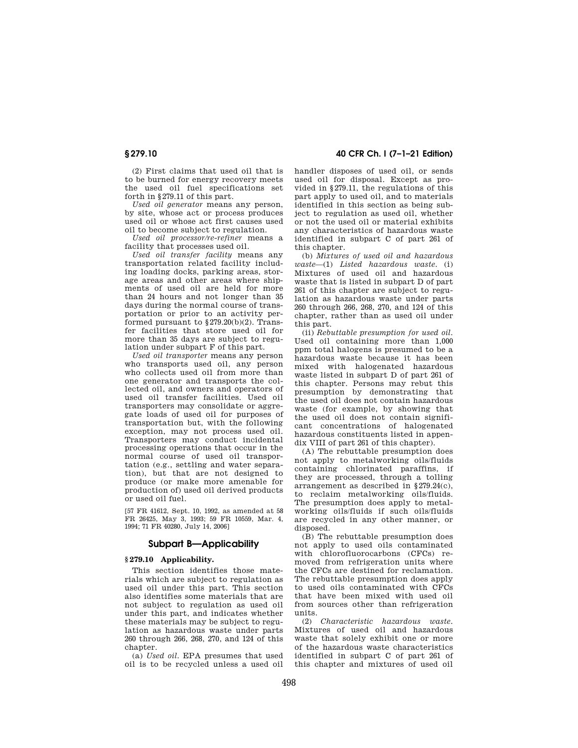(2) First claims that used oil that is to be burned for energy recovery meets the used oil fuel specifications set forth in §279.11 of this part.

*Used oil generator* means any person, by site, whose act or process produces used oil or whose act first causes used oil to become subject to regulation.

*Used oil processor/re-refiner* means a facility that processes used oil.

*Used oil transfer facility* means any transportation related facility including loading docks, parking areas, storage areas and other areas where shipments of used oil are held for more than 24 hours and not longer than 35 days during the normal course of transportation or prior to an activity performed pursuant to §279.20(b)(2). Transfer facilities that store used oil for more than 35 days are subject to regulation under subpart F of this part.

*Used oil transporter* means any person who transports used oil, any person who collects used oil from more than one generator and transports the collected oil, and owners and operators of used oil transfer facilities. Used oil transporters may consolidate or aggregate loads of used oil for purposes of transportation but, with the following exception, may not process used oil. Transporters may conduct incidental processing operations that occur in the normal course of used oil transportation (e.g., settling and water separation), but that are not designed to produce (or make more amenable for production of) used oil derived products or used oil fuel.

[57 FR 41612, Sept. 10, 1992, as amended at 58 FR 26425, May 3, 1993; 59 FR 10559, Mar. 4, 1994; 71 FR 40280, July 14, 2006]

# **Subpart B—Applicability**

# **§ 279.10 Applicability.**

This section identifies those materials which are subject to regulation as used oil under this part. This section also identifies some materials that are not subject to regulation as used oil under this part, and indicates whether these materials may be subject to regulation as hazardous waste under parts 260 through 266, 268, 270, and 124 of this chapter.

(a) *Used oil.* EPA presumes that used oil is to be recycled unless a used oil

**§ 279.10 40 CFR Ch. I (7–1–21 Edition)** 

handler disposes of used oil, or sends used oil for disposal. Except as provided in §279.11, the regulations of this part apply to used oil, and to materials identified in this section as being subject to regulation as used oil, whether or not the used oil or material exhibits any characteristics of hazardous waste identified in subpart C of part 261 of this chapter.

(b) *Mixtures of used oil and hazardous waste*—(1) *Listed hazardous waste.* (i) Mixtures of used oil and hazardous waste that is listed in subpart D of part 261 of this chapter are subject to regulation as hazardous waste under parts 260 through 266, 268, 270, and 124 of this chapter, rather than as used oil under this part.

(ii) *Rebuttable presumption for used oil.*  Used oil containing more than 1,000 ppm total halogens is presumed to be a hazardous waste because it has been mixed with halogenated hazardous waste listed in subpart D of part 261 of this chapter. Persons may rebut this presumption by demonstrating that the used oil does not contain hazardous waste (for example, by showing that the used oil does not contain significant concentrations of halogenated hazardous constituents listed in appendix VIII of part 261 of this chapter).

(A) The rebuttable presumption does not apply to metalworking oils/fluids containing chlorinated paraffins, if they are processed, through a tolling arrangement as described in §279.24(c), to reclaim metalworking oils/fluids. The presumption does apply to metalworking oils/fluids if such oils/fluids are recycled in any other manner, or disposed.

(B) The rebuttable presumption does not apply to used oils contaminated with chlorofluorocarbons (CFCs) removed from refrigeration units where the CFCs are destined for reclamation. The rebuttable presumption does apply to used oils contaminated with CFCs that have been mixed with used oil from sources other than refrigeration units.

(2) *Characteristic hazardous waste.*  Mixtures of used oil and hazardous waste that solely exhibit one or more of the hazardous waste characteristics identified in subpart C of part 261 of this chapter and mixtures of used oil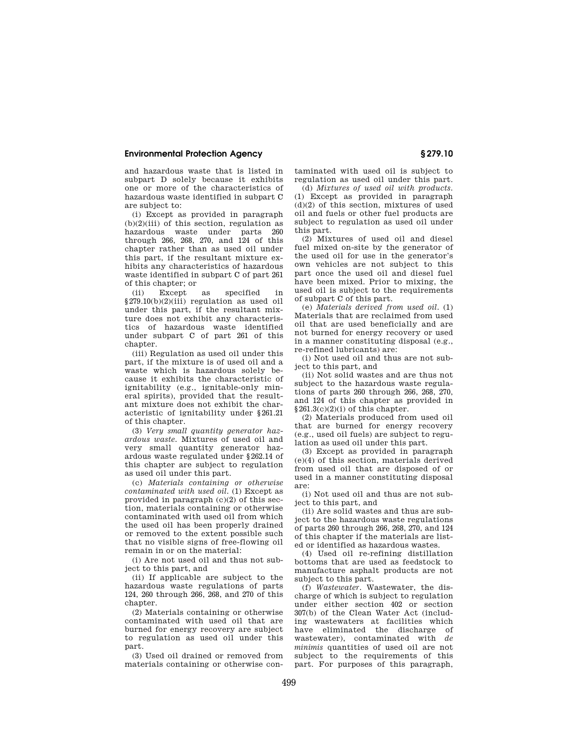and hazardous waste that is listed in subpart D solely because it exhibits one or more of the characteristics of hazardous waste identified in subpart C are subject to:

(i) Except as provided in paragraph  $(b)(2)(iii)$  of this section, regulation as hazardous waste under parts 260 through 266, 268, 270, and 124 of this chapter rather than as used oil under this part, if the resultant mixture exhibits any characteristics of hazardous waste identified in subpart C of part 261 of this chapter; or

(ii) Except as specified in §279.10(b)(2)(iii) regulation as used oil under this part, if the resultant mixture does not exhibit any characteristics of hazardous waste identified under subpart C of part 261 of this chapter.

(iii) Regulation as used oil under this part, if the mixture is of used oil and a waste which is hazardous solely because it exhibits the characteristic of ignitability (e.g., ignitable-only mineral spirits), provided that the resultant mixture does not exhibit the characteristic of ignitability under §261.21 of this chapter.

(3) *Very small quantity generator hazardous waste.* Mixtures of used oil and very small quantity generator hazardous waste regulated under §262.14 of this chapter are subject to regulation as used oil under this part.

(c) *Materials containing or otherwise contaminated with used oil.* (1) Except as provided in paragraph (c)(2) of this section, materials containing or otherwise contaminated with used oil from which the used oil has been properly drained or removed to the extent possible such that no visible signs of free-flowing oil remain in or on the material:

(i) Are not used oil and thus not subject to this part, and

(ii) If applicable are subject to the hazardous waste regulations of parts 124, 260 through 266, 268, and 270 of this chapter.

(2) Materials containing or otherwise contaminated with used oil that are burned for energy recovery are subject to regulation as used oil under this part.

(3) Used oil drained or removed from materials containing or otherwise contaminated with used oil is subject to regulation as used oil under this part.

(d) *Mixtures of used oil with products.*  (1) Except as provided in paragraph (d)(2) of this section, mixtures of used oil and fuels or other fuel products are subject to regulation as used oil under this part.

(2) Mixtures of used oil and diesel fuel mixed on-site by the generator of the used oil for use in the generator's own vehicles are not subject to this part once the used oil and diesel fuel have been mixed. Prior to mixing, the used oil is subject to the requirements of subpart C of this part.

(e) *Materials derived from used oil.* (1) Materials that are reclaimed from used oil that are used beneficially and are not burned for energy recovery or used in a manner constituting disposal (e.g., re-refined lubricants) are:

(i) Not used oil and thus are not subject to this part, and

(ii) Not solid wastes and are thus not subject to the hazardous waste regulations of parts 260 through 266, 268, 270, and 124 of this chapter as provided in §261.3(c)(2)(i) of this chapter.

(2) Materials produced from used oil that are burned for energy recovery (e.g., used oil fuels) are subject to regulation as used oil under this part.

(3) Except as provided in paragraph (e)(4) of this section, materials derived from used oil that are disposed of or used in a manner constituting disposal are:

(i) Not used oil and thus are not subject to this part, and

(ii) Are solid wastes and thus are subject to the hazardous waste regulations of parts 260 through 266, 268, 270, and 124 of this chapter if the materials are listed or identified as hazardous wastes.

(4) Used oil re-refining distillation bottoms that are used as feedstock to manufacture asphalt products are not subject to this part.

(f) *Wastewater.* Wastewater, the discharge of which is subject to regulation under either section 402 or section 307(b) of the Clean Water Act (including wastewaters at facilities which have eliminated the discharge of wastewater), contaminated with *de minimis* quantities of used oil are not subject to the requirements of this part. For purposes of this paragraph,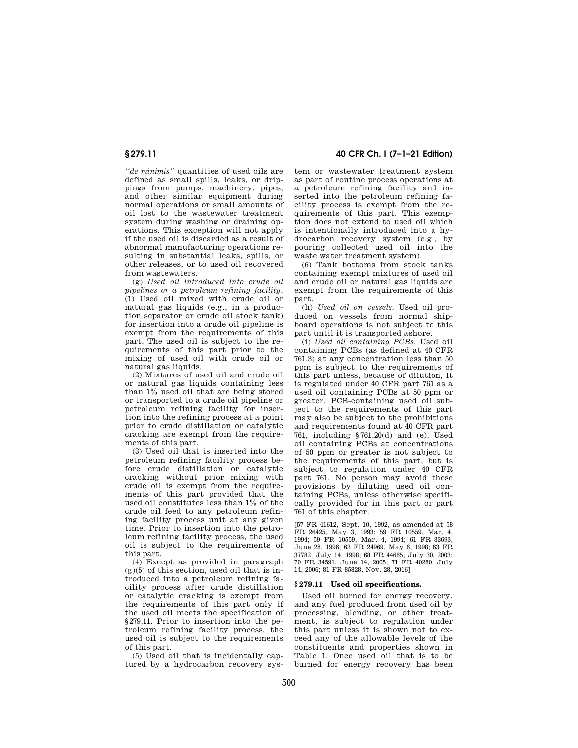*''de minimis''* quantities of used oils are defined as small spills, leaks, or drippings from pumps, machinery, pipes, and other similar equipment during normal operations or small amounts of oil lost to the wastewater treatment system during washing or draining operations. This exception will not apply if the used oil is discarded as a result of abnormal manufacturing operations resulting in substantial leaks, spills, or other releases, or to used oil recovered from wastewaters.

(g) *Used oil introduced into crude oil pipelines or a petroleum refining facility.*  (1) Used oil mixed with crude oil or natural gas liquids (e.g., in a production separator or crude oil stock tank) for insertion into a crude oil pipeline is exempt from the requirements of this part. The used oil is subject to the requirements of this part prior to the mixing of used oil with crude oil or natural gas liquids.

(2) Mixtures of used oil and crude oil or natural gas liquids containing less than 1% used oil that are being stored or transported to a crude oil pipeline or petroleum refining facility for insertion into the refining process at a point prior to crude distillation or catalytic cracking are exempt from the requirements of this part.

(3) Used oil that is inserted into the petroleum refining facility process before crude distillation or catalytic cracking without prior mixing with crude oil is exempt from the requirements of this part provided that the used oil constitutes less than 1% of the crude oil feed to any petroleum refining facility process unit at any given time. Prior to insertion into the petroleum refining facility process, the used oil is subject to the requirements of this part.

(4) Except as provided in paragraph  $(g)(5)$  of this section, used oil that is introduced into a petroleum refining facility process after crude distillation or catalytic cracking is exempt from the requirements of this part only if the used oil meets the specification of §279.11. Prior to insertion into the petroleum refining facility process, the used oil is subject to the requirements of this part.

(5) Used oil that is incidentally captured by a hydrocarbon recovery sys-

**§ 279.11 40 CFR Ch. I (7–1–21 Edition)** 

tem or wastewater treatment system as part of routine process operations at a petroleum refining facility and inserted into the petroleum refining facility process is exempt from the requirements of this part. This exemption does not extend to used oil which is intentionally introduced into a hydrocarbon recovery system (e.g., by pouring collected used oil into the waste water treatment system).

(6) Tank bottoms from stock tanks containing exempt mixtures of used oil and crude oil or natural gas liquids are exempt from the requirements of this part.

(h) *Used oil on vessels.* Used oil produced on vessels from normal shipboard operations is not subject to this part until it is transported ashore.

(i) *Used oil containing PCBs.* Used oil containing PCBs (as defined at 40 CFR 761.3) at any concentration less than 50 ppm is subject to the requirements of this part unless, because of dilution, it is regulated under 40 CFR part 761 as a used oil containing PCBs at 50 ppm or greater. PCB-containing used oil subject to the requirements of this part may also be subject to the prohibitions and requirements found at 40 CFR part 761, including §761.20(d) and (e). Used oil containing PCBs at concentrations of 50 ppm or greater is not subject to the requirements of this part, but is subject to regulation under 40 CFR part 761. No person may avoid these provisions by diluting used oil containing PCBs, unless otherwise specifically provided for in this part or part 761 of this chapter.

[57 FR 41612, Sept. 10, 1992, as amended at 58 FR 26425, May 3, 1993; 59 FR 10559, Mar. 4, 1994; 59 FR 10559, Mar. 4, 1994; 61 FR 33693, June 28, 1996; 63 FR 24969, May 6, 1998; 63 FR 37782, July 14, 1998; 68 FR 44665, July 30, 2003; 70 FR 34591, June 14, 2005; 71 FR 40280, July 14, 2006; 81 FR 85828, Nov. 28, 2016]

#### **§ 279.11 Used oil specifications.**

Used oil burned for energy recovery, and any fuel produced from used oil by processing, blending, or other treatment, is subject to regulation under this part unless it is shown not to exceed any of the allowable levels of the constituents and properties shown in Table 1. Once used oil that is to be burned for energy recovery has been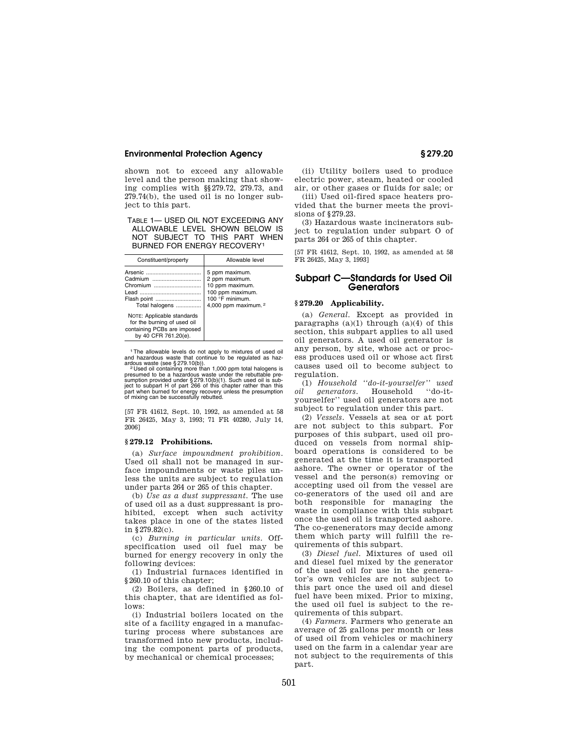shown not to exceed any allowable level and the person making that showing complies with §§279.72, 279.73, and 279.74(b), the used oil is no longer subject to this part.

TABLE 1— USED OIL NOT EXCEEDING ANY ALLOWABLE LEVEL SHOWN BELOW IS NOT SUBJECT TO THIS PART WHEN BURNED FOR ENERGY RECOVERY1

| Constituent/property                                                                                             | Allowable level                                                                                                               |
|------------------------------------------------------------------------------------------------------------------|-------------------------------------------------------------------------------------------------------------------------------|
| Cadmium<br>Chromium<br>Flash point<br>Total halogens                                                             | 5 ppm maximum.<br>2 ppm maximum.<br>10 ppm maximum.<br>100 ppm maximum.<br>100 °F minimum.<br>4,000 ppm maximum. <sup>2</sup> |
| NOTE: Applicable standards<br>for the burning of used oil<br>containing PCBs are imposed<br>by 40 CFR 761.20(e). |                                                                                                                               |

1The allowable levels do not apply to mixtures of used oil and hazardous waste that continue to be regulated as hazardous waste (see § 279.10(b)). 2 Used oil containing more than 1,000 ppm total halogens is

presumed to be a hazardous waste under the rebuttable pre-<br>sumption provided under § 279.10(b)(1). Such used oil is sub-<br>ject to subpart H of part 266 of this chapter rather than this<br>part when burned for energy recovery u

[57 FR 41612, Sept. 10, 1992, as amended at 58 FR 26425, May 3, 1993; 71 FR 40280, July 14, 2006]

#### **§ 279.12 Prohibitions.**

(a) *Surface impoundment prohibition.*  Used oil shall not be managed in surface impoundments or waste piles unless the units are subject to regulation under parts 264 or 265 of this chapter.

(b) *Use as a dust suppressant.* The use of used oil as a dust suppressant is prohibited, except when such activity takes place in one of the states listed in §279.82(c).

(c) *Burning in particular units.* Offspecification used oil fuel may be burned for energy recovery in only the following devices:

(1) Industrial furnaces identified in §260.10 of this chapter;

(2) Boilers, as defined in §260.10 of this chapter, that are identified as follows:

(i) Industrial boilers located on the site of a facility engaged in a manufacturing process where substances are transformed into new products, including the component parts of products, by mechanical or chemical processes;

(ii) Utility boilers used to produce electric power, steam, heated or cooled air, or other gases or fluids for sale; or

(iii) Used oil-fired space heaters provided that the burner meets the provisions of §279.23.

(3) Hazardous waste incinerators subject to regulation under subpart O of parts 264 or 265 of this chapter.

[57 FR 41612, Sept. 10, 1992, as amended at 58 FR 26425, May 3, 1993]

# **Subpart C—Standards for Used Oil Generators**

#### **§ 279.20 Applicability.**

(a) *General.* Except as provided in paragraphs  $(a)(1)$  through  $(a)(4)$  of this section, this subpart applies to all used oil generators. A used oil generator is any person, by site, whose act or process produces used oil or whose act first causes used oil to become subject to regulation.

(1) *Household ''do-it-yourselfer'' used oil generators.* Household yourselfer'' used oil generators are not subject to regulation under this part.

(2) *Vessels.* Vessels at sea or at port are not subject to this subpart. For purposes of this subpart, used oil produced on vessels from normal shipboard operations is considered to be generated at the time it is transported ashore. The owner or operator of the vessel and the person(s) removing or accepting used oil from the vessel are co-generators of the used oil and are both responsible for managing the waste in compliance with this subpart once the used oil is transported ashore. The co-genenerators may decide among them which party will fulfill the requirements of this subpart.

(3) *Diesel fuel.* Mixtures of used oil and diesel fuel mixed by the generator of the used oil for use in the generator's own vehicles are not subject to this part once the used oil and diesel fuel have been mixed. Prior to mixing, the used oil fuel is subject to the requirements of this subpart.

(4) *Farmers.* Farmers who generate an average of 25 gallons per month or less of used oil from vehicles or machinery used on the farm in a calendar year are not subject to the requirements of this part.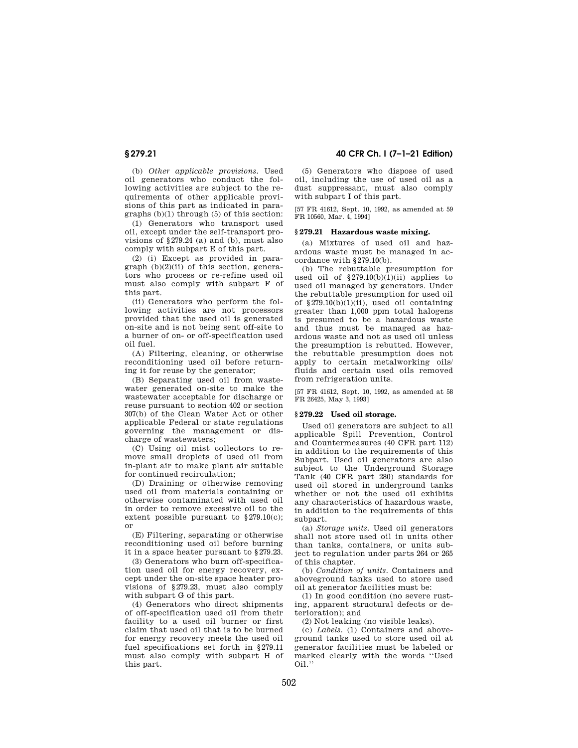(b) *Other applicable provisions.* Used oil generators who conduct the following activities are subject to the requirements of other applicable provisions of this part as indicated in paragraphs (b)(1) through (5) of this section:

(1) Generators who transport used oil, except under the self-transport provisions of §279.24 (a) and (b), must also comply with subpart E of this part.

(2) (i) Except as provided in para $graph (b)(2)(ii)$  of this section, generators who process or re-refine used oil must also comply with subpart F of this part.

(ii) Generators who perform the following activities are not processors provided that the used oil is generated on-site and is not being sent off-site to a burner of on- or off-specification used oil fuel.

(A) Filtering, cleaning, or otherwise reconditioning used oil before returning it for reuse by the generator;

(B) Separating used oil from wastewater generated on-site to make the wastewater acceptable for discharge or reuse pursuant to section 402 or section 307(b) of the Clean Water Act or other applicable Federal or state regulations governing the management or discharge of wastewaters;

(C) Using oil mist collectors to remove small droplets of used oil from in-plant air to make plant air suitable for continued recirculation;

(D) Draining or otherwise removing used oil from materials containing or otherwise contaminated with used oil in order to remove excessive oil to the extent possible pursuant to §279.10(c); or

(E) Filtering, separating or otherwise reconditioning used oil before burning it in a space heater pursuant to §279.23.

(3) Generators who burn off-specification used oil for energy recovery, except under the on-site space heater provisions of §279.23, must also comply with subpart G of this part.

(4) Generators who direct shipments of off-specification used oil from their facility to a used oil burner or first claim that used oil that is to be burned for energy recovery meets the used oil fuel specifications set forth in §279.11 must also comply with subpart H of this part.

**§ 279.21 40 CFR Ch. I (7–1–21 Edition)** 

(5) Generators who dispose of used oil, including the use of used oil as a dust suppressant, must also comply with subpart I of this part.

[57 FR 41612, Sept. 10, 1992, as amended at 59 FR 10560, Mar. 4, 1994]

### **§ 279.21 Hazardous waste mixing.**

(a) Mixtures of used oil and hazardous waste must be managed in accordance with §279.10(b).

(b) The rebuttable presumption for used oil of  $$279.10(b)(1)(ii)$  applies to used oil managed by generators. Under the rebuttable presumption for used oil of  $$279.10(b)(1)(ii)$ , used oil containing greater than 1,000 ppm total halogens is presumed to be a hazardous waste and thus must be managed as hazardous waste and not as used oil unless the presumption is rebutted. However, the rebuttable presumption does not apply to certain metalworking oils/ fluids and certain used oils removed from refrigeration units.

[57 FR 41612, Sept. 10, 1992, as amended at 58 FR 26425, May 3, 1993]

#### **§ 279.22 Used oil storage.**

Used oil generators are subject to all applicable Spill Prevention, Control and Countermeasures (40 CFR part 112) in addition to the requirements of this Subpart. Used oil generators are also subject to the Underground Storage Tank (40 CFR part 280) standards for used oil stored in underground tanks whether or not the used oil exhibits any characteristics of hazardous waste, in addition to the requirements of this subpart.

(a) *Storage units.* Used oil generators shall not store used oil in units other than tanks, containers, or units subject to regulation under parts 264 or 265 of this chapter.

(b) *Condition of units.* Containers and aboveground tanks used to store used oil at generator facilities must be:

(1) In good condition (no severe rusting, apparent structural defects or deterioration); and

(2) Not leaking (no visible leaks).

(c) *Labels.* (1) Containers and aboveground tanks used to store used oil at generator facilities must be labeled or marked clearly with the words ''Used Oil.''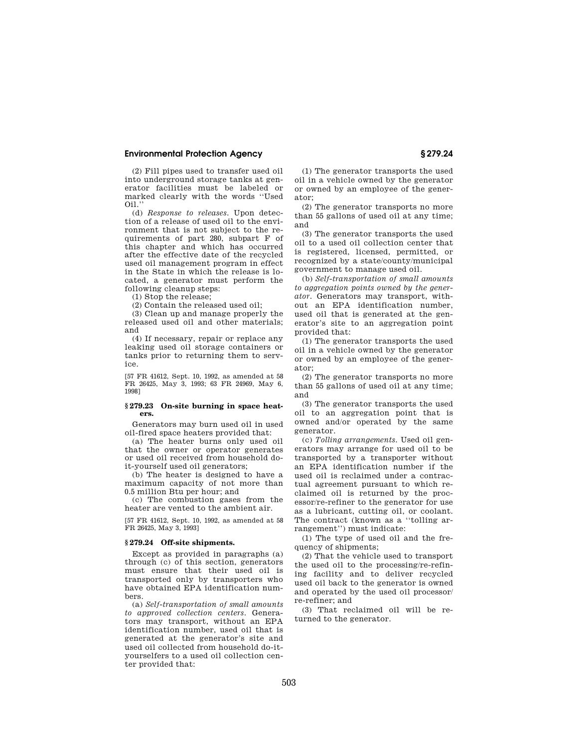(2) Fill pipes used to transfer used oil into underground storage tanks at generator facilities must be labeled or marked clearly with the words ''Used Oil.''

(d) *Response to releases.* Upon detection of a release of used oil to the environment that is not subject to the requirements of part 280, subpart F of this chapter and which has occurred after the effective date of the recycled used oil management program in effect in the State in which the release is located, a generator must perform the following cleanup steps:

(1) Stop the release;

(2) Contain the released used oil;

(3) Clean up and manage properly the released used oil and other materials; and

(4) If necessary, repair or replace any leaking used oil storage containers or tanks prior to returning them to service.

[57 FR 41612, Sept. 10, 1992, as amended at 58 FR 26425, May 3, 1993; 63 FR 24969, May 6, 1998]

# § 279.23 On-site burning in space heat-

Generators may burn used oil in used oil-fired space heaters provided that:

(a) The heater burns only used oil that the owner or operator generates or used oil received from household doit-yourself used oil generators;

(b) The heater is designed to have a maximum capacity of not more than 0.5 million Btu per hour; and

(c) The combustion gases from the heater are vented to the ambient air.

[57 FR 41612, Sept. 10, 1992, as amended at 58 FR 26425, May 3, 1993]

#### **§ 279.24 Off-site shipments.**

Except as provided in paragraphs (a) through (c) of this section, generators must ensure that their used oil is transported only by transporters who have obtained EPA identification numbers.

(a) *Self-transportation of small amounts to approved collection centers.* Generators may transport, without an EPA identification number, used oil that is generated at the generator's site and used oil collected from household do-ityourselfers to a used oil collection center provided that:

(1) The generator transports the used oil in a vehicle owned by the generator or owned by an employee of the generator;

(2) The generator transports no more than 55 gallons of used oil at any time; and

(3) The generator transports the used oil to a used oil collection center that is registered, licensed, permitted, or recognized by a state/county/municipal government to manage used oil.

(b) *Self-transportation of small amounts to aggregation points owned by the generator.* Generators may transport, without an EPA identification number, used oil that is generated at the generator's site to an aggregation point provided that:

(1) The generator transports the used oil in a vehicle owned by the generator or owned by an employee of the generator;

(2) The generator transports no more than 55 gallons of used oil at any time; and

(3) The generator transports the used oil to an aggregation point that is owned and/or operated by the same generator.

(c) *Tolling arrangements.* Used oil generators may arrange for used oil to be transported by a transporter without an EPA identification number if the used oil is reclaimed under a contractual agreement pursuant to which reclaimed oil is returned by the processor/re-refiner to the generator for use as a lubricant, cutting oil, or coolant. The contract (known as a ''tolling arrangement'') must indicate:

(1) The type of used oil and the frequency of shipments;

(2) That the vehicle used to transport the used oil to the processing/re-refining facility and to deliver recycled used oil back to the generator is owned and operated by the used oil processor/ re-refiner; and

(3) That reclaimed oil will be returned to the generator.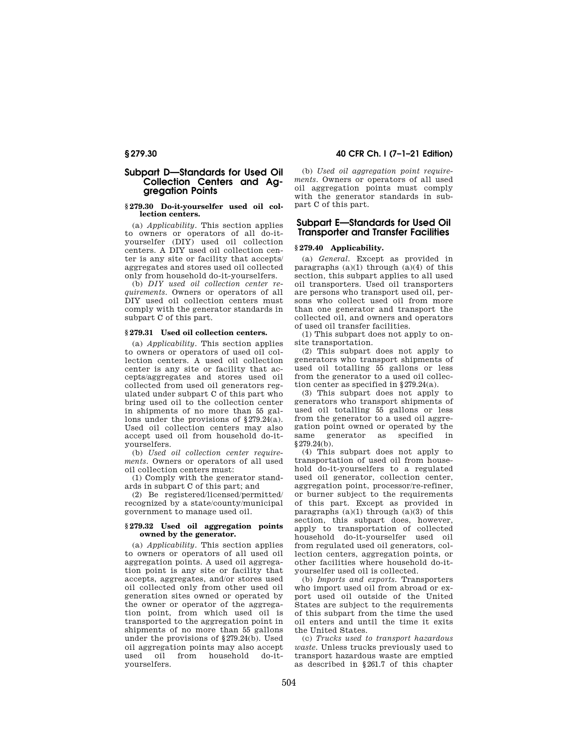# **Subpart D—Standards for Used Oil Collection Centers and Aggregation Points**

#### **§ 279.30 Do-it-yourselfer used oil collection centers.**

(a) *Applicability.* This section applies to owners or operators of all do-ityourselfer (DIY) used oil collection centers. A DIY used oil collection center is any site or facility that accepts/ aggregates and stores used oil collected only from household do-it-yourselfers.

(b) *DIY used oil collection center requirements.* Owners or operators of all DIY used oil collection centers must comply with the generator standards in subpart C of this part.

### **§ 279.31 Used oil collection centers.**

(a) *Applicability.* This section applies to owners or operators of used oil collection centers. A used oil collection center is any site or facility that accepts/aggregates and stores used oil collected from used oil generators regulated under subpart C of this part who bring used oil to the collection center in shipments of no more than 55 gallons under the provisions of  $§279.24(a)$ . Used oil collection centers may also accept used oil from household do-ityourselfers.

(b) *Used oil collection center requirements.* Owners or operators of all used oil collection centers must:

(1) Comply with the generator standards in subpart C of this part; and

(2) Be registered/licensed/permitted/ recognized by a state/county/municipal government to manage used oil.

# **§ 279.32 Used oil aggregation points owned by the generator.**

(a) *Applicability.* This section applies to owners or operators of all used oil aggregation points. A used oil aggregation point is any site or facility that accepts, aggregates, and/or stores used oil collected only from other used oil generation sites owned or operated by the owner or operator of the aggregation point, from which used oil is transported to the aggregation point in shipments of no more than 55 gallons under the provisions of §279.24(b). Used oil aggregation points may also accept from household do-ityourselfers.

**§ 279.30 40 CFR Ch. I (7–1–21 Edition)** 

(b) *Used oil aggregation point requirements.* Owners or operators of all used oil aggregation points must comply with the generator standards in subpart C of this part.

# **Subpart E—Standards for Used Oil Transporter and Transfer Facilities**

# **§ 279.40 Applicability.**

(a) *General.* Except as provided in paragraphs  $(a)(1)$  through  $(a)(4)$  of this section, this subpart applies to all used oil transporters. Used oil transporters are persons who transport used oil, persons who collect used oil from more than one generator and transport the collected oil, and owners and operators of used oil transfer facilities.

(1) This subpart does not apply to onsite transportation.

(2) This subpart does not apply to generators who transport shipments of used oil totalling 55 gallons or less from the generator to a used oil collection center as specified in §279.24(a).

(3) This subpart does not apply to generators who transport shipments of used oil totalling 55 gallons or less from the generator to a used oil aggregation point owned or operated by the<br>same generator as specified in same generator as specified in §279.24(b).

(4) This subpart does not apply to transportation of used oil from household do-it-yourselfers to a regulated used oil generator, collection center, aggregation point, processor/re-refiner, or burner subject to the requirements of this part. Except as provided in paragraphs  $(a)(1)$  through  $(a)(3)$  of this section, this subpart does, however, apply to transportation of collected household do-it-yourselfer used oil from regulated used oil generators, collection centers, aggregation points, or other facilities where household do-ityourselfer used oil is collected.

(b) *Imports and exports.* Transporters who import used oil from abroad or export used oil outside of the United States are subject to the requirements of this subpart from the time the used oil enters and until the time it exits the United States.

(c) *Trucks used to transport hazardous waste.* Unless trucks previously used to transport hazardous waste are emptied as described in §261.7 of this chapter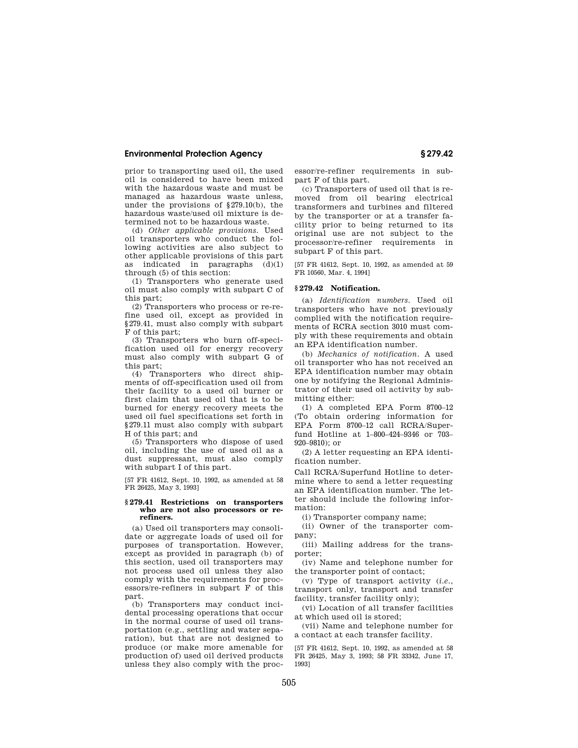prior to transporting used oil, the used oil is considered to have been mixed with the hazardous waste and must be managed as hazardous waste unless, under the provisions of §279.10(b), the hazardous waste/used oil mixture is determined not to be hazardous waste.

(d) *Other applicable provisions.* Used oil transporters who conduct the following activities are also subject to other applicable provisions of this part as indicated in paragraphs  $(d)(1)$ through (5) of this section:

(1) Transporters who generate used oil must also comply with subpart C of this part;

(2) Transporters who process or re-refine used oil, except as provided in §279.41, must also comply with subpart F of this part;

(3) Transporters who burn off-specification used oil for energy recovery must also comply with subpart G of this part;

(4) Transporters who direct shipments of off-specification used oil from their facility to a used oil burner or first claim that used oil that is to be burned for energy recovery meets the used oil fuel specifications set forth in §279.11 must also comply with subpart H of this part; and

(5) Transporters who dispose of used oil, including the use of used oil as a dust suppressant, must also comply with subpart I of this part.

[57 FR 41612, Sept. 10, 1992, as amended at 58 FR 26425, May 3, 1993]

#### **§ 279.41 Restrictions on transporters who are not also processors or rerefiners.**

(a) Used oil transporters may consolidate or aggregate loads of used oil for purposes of transportation. However, except as provided in paragraph (b) of this section, used oil transporters may not process used oil unless they also comply with the requirements for processors/re-refiners in subpart F of this part.

(b) Transporters may conduct incidental processing operations that occur in the normal course of used oil transportation (e.g., settling and water separation), but that are not designed to produce (or make more amenable for production of) used oil derived products unless they also comply with the processor/re-refiner requirements in subpart F of this part.

(c) Transporters of used oil that is removed from oil bearing electrical transformers and turbines and filtered by the transporter or at a transfer facility prior to being returned to its original use are not subject to the processor/re-refiner requirements in subpart F of this part.

[57 FR 41612, Sept. 10, 1992, as amended at 59 FR 10560, Mar. 4, 1994]

#### **§ 279.42 Notification.**

(a) *Identification numbers.* Used oil transporters who have not previously complied with the notification requirements of RCRA section 3010 must comply with these requirements and obtain an EPA identification number.

(b) *Mechanics of notification.* A used oil transporter who has not received an EPA identification number may obtain one by notifying the Regional Administrator of their used oil activity by submitting either:

(1) A completed EPA Form 8700–12 (To obtain ordering information for EPA Form 8700–12 call RCRA/Superfund Hotline at 1–800–424–9346 or 703– 920–9810); or

(2) A letter requesting an EPA identification number.

Call RCRA/Superfund Hotline to determine where to send a letter requesting an EPA identification number. The letter should include the following information:

(i) Transporter company name;

(ii) Owner of the transporter company;

(iii) Mailing address for the transporter;

(iv) Name and telephone number for the transporter point of contact;

(v) Type of transport activity (*i.e.*, transport only, transport and transfer facility, transfer facility only);

(vi) Location of all transfer facilities at which used oil is stored;

(vii) Name and telephone number for a contact at each transfer facility.

[57 FR 41612, Sept. 10, 1992, as amended at 58 FR 26425, May 3, 1993; 58 FR 33342, June 17, 1993]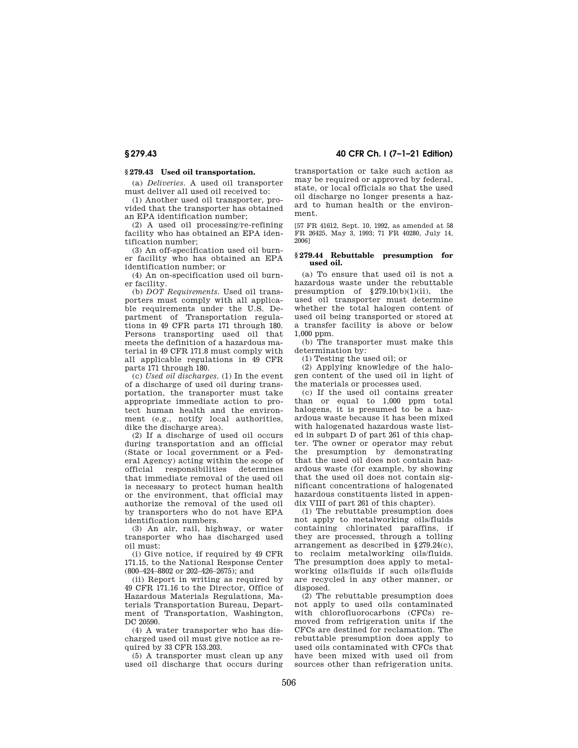### **§ 279.43 Used oil transportation.**

(a) *Deliveries.* A used oil transporter must deliver all used oil received to:

(1) Another used oil transporter, provided that the transporter has obtained an EPA identification number;

(2) A used oil processing/re-refining facility who has obtained an EPA identification number;

(3) An off-specification used oil burner facility who has obtained an EPA identification number; or

(4) An on-specification used oil burner facility.

(b) *DOT Requirements.* Used oil transporters must comply with all applicable requirements under the U.S. Department of Transportation regulations in 49 CFR parts 171 through 180. Persons transporting used oil that meets the definition of a hazardous material in 49 CFR 171.8 must comply with all applicable regulations in 49 CFR parts 171 through 180.

(c) *Used oil discharges.* (1) In the event of a discharge of used oil during transportation, the transporter must take appropriate immediate action to protect human health and the environment (e.g., notify local authorities, dike the discharge area).

(2) If a discharge of used oil occurs during transportation and an official (State or local government or a Federal Agency) acting within the scope of official responsibilities determines that immediate removal of the used oil is necessary to protect human health or the environment, that official may authorize the removal of the used oil by transporters who do not have EPA identification numbers.

(3) An air, rail, highway, or water transporter who has discharged used oil must:

(i) Give notice, if required by 49 CFR 171.15, to the National Response Center (800–424–8802 or 202–426–2675); and

(ii) Report in writing as required by 49 CFR 171.16 to the Director, Office of Hazardous Materials Regulations, Materials Transportation Bureau, Department of Transportation, Washington, DC 20590.

(4) A water transporter who has discharged used oil must give notice as required by 33 CFR 153.203.

(5) A transporter must clean up any used oil discharge that occurs during

**§ 279.43 40 CFR Ch. I (7–1–21 Edition)** 

transportation or take such action as may be required or approved by federal, state, or local officials so that the used oil discharge no longer presents a hazard to human health or the environment.

[57 FR 41612, Sept. 10, 1992, as amended at 58 FR 26425, May 3, 1993; 71 FR 40280, July 14, 2006]

#### **§ 279.44 Rebuttable presumption for used oil.**

(a) To ensure that used oil is not a hazardous waste under the rebuttable presumption of  $\S 279.10(b)(1)(ii)$ , the used oil transporter must determine whether the total halogen content of used oil being transported or stored at a transfer facility is above or below 1,000 ppm.

(b) The transporter must make this determination by:

(1) Testing the used oil; or

(2) Applying knowledge of the halogen content of the used oil in light of the materials or processes used.

(c) If the used oil contains greater than or equal to 1,000 ppm total halogens, it is presumed to be a hazardous waste because it has been mixed with halogenated hazardous waste listed in subpart D of part 261 of this chapter. The owner or operator may rebut the presumption by demonstrating that the used oil does not contain hazardous waste (for example, by showing that the used oil does not contain significant concentrations of halogenated hazardous constituents listed in appendix VIII of part 261 of this chapter).

(1) The rebuttable presumption does not apply to metalworking oils/fluids containing chlorinated paraffins, if they are processed, through a tolling arrangement as described in §279.24(c), to reclaim metalworking oils/fluids. The presumption does apply to metalworking oils/fluids if such oils/fluids are recycled in any other manner, or disposed.

(2) The rebuttable presumption does not apply to used oils contaminated with chlorofluorocarbons (CFCs) removed from refrigeration units if the CFCs are destined for reclamation. The rebuttable presumption does apply to used oils contaminated with CFCs that have been mixed with used oil from sources other than refrigeration units.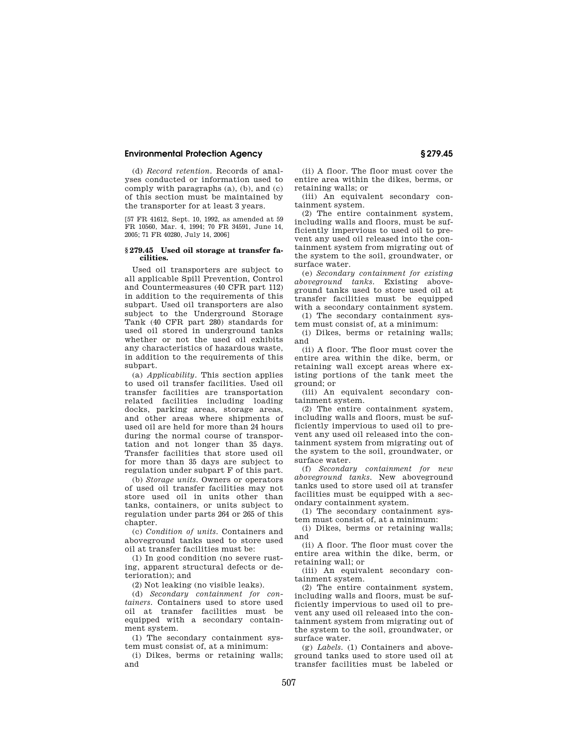(d) *Record retention.* Records of analyses conducted or information used to comply with paragraphs (a), (b), and (c) of this section must be maintained by the transporter for at least 3 years.

[57 FR 41612, Sept. 10, 1992, as amended at 59 FR 10560, Mar. 4, 1994; 70 FR 34591, June 14, 2005; 71 FR 40280, July 14, 2006]

#### **§ 279.45 Used oil storage at transfer facilities.**

Used oil transporters are subject to all applicable Spill Prevention, Control and Countermeasures (40 CFR part 112) in addition to the requirements of this subpart. Used oil transporters are also subject to the Underground Storage Tank (40 CFR part 280) standards for used oil stored in underground tanks whether or not the used oil exhibits any characteristics of hazardous waste, in addition to the requirements of this subpart.

(a) *Applicability.* This section applies to used oil transfer facilities. Used oil transfer facilities are transportation related facilities including loading docks, parking areas, storage areas, and other areas where shipments of used oil are held for more than 24 hours during the normal course of transportation and not longer than 35 days. Transfer facilities that store used oil for more than 35 days are subject to regulation under subpart F of this part.

(b) *Storage units.* Owners or operators of used oil transfer facilities may not store used oil in units other than tanks, containers, or units subject to regulation under parts 264 or 265 of this chapter.

(c) *Condition of units.* Containers and aboveground tanks used to store used oil at transfer facilities must be:

(1) In good condition (no severe rusting, apparent structural defects or deterioration); and

(2) Not leaking (no visible leaks).

(d) *Secondary containment for containers.* Containers used to store used oil at transfer facilities must be equipped with a secondary containment system.

(1) The secondary containment system must consist of, at a minimum:

(i) Dikes, berms or retaining walls; and

(ii) A floor. The floor must cover the entire area within the dikes, berms, or retaining walls; or

(iii) An equivalent secondary containment system.

(2) The entire containment system, including walls and floors, must be sufficiently impervious to used oil to prevent any used oil released into the containment system from migrating out of the system to the soil, groundwater, or surface water.

(e) *Secondary containment for existing aboveground tanks.* Existing aboveground tanks used to store used oil at transfer facilities must be equipped with a secondary containment system.

(1) The secondary containment system must consist of, at a minimum:

(i) Dikes, berms or retaining walls; and

(ii) A floor. The floor must cover the entire area within the dike, berm, or retaining wall except areas where existing portions of the tank meet the ground; or

(iii) An equivalent secondary containment system.

(2) The entire containment system, including walls and floors, must be sufficiently impervious to used oil to prevent any used oil released into the containment system from migrating out of the system to the soil, groundwater, or surface water.

(f) *Secondary containment for new aboveground tanks.* New aboveground tanks used to store used oil at transfer facilities must be equipped with a secondary containment system.

(1) The secondary containment system must consist of, at a minimum:

(i) Dikes, berms or retaining walls; and

(ii) A floor. The floor must cover the entire area within the dike, berm, or retaining wall; or

(iii) An equivalent secondary containment system.

(2) The entire containment system, including walls and floors, must be sufficiently impervious to used oil to prevent any used oil released into the containment system from migrating out of the system to the soil, groundwater, or surface water.

(g) *Labels.* (1) Containers and aboveground tanks used to store used oil at transfer facilities must be labeled or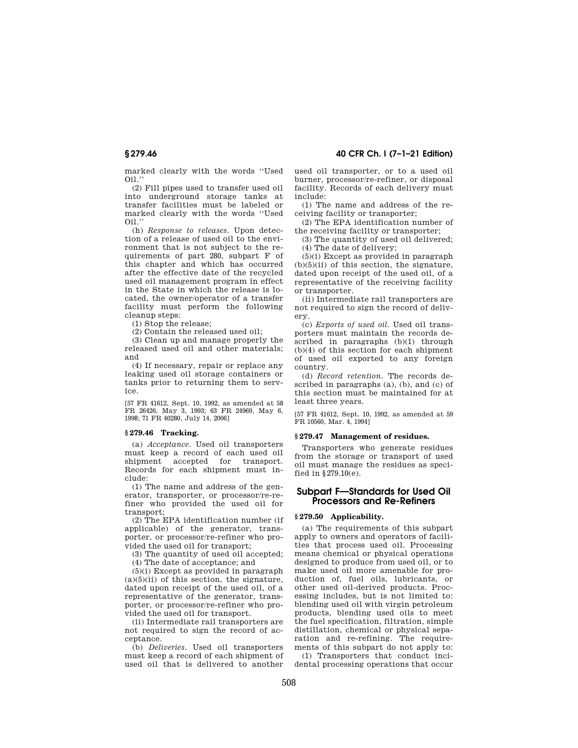marked clearly with the words ''Used  $O<sub>1</sub>$ 

(2) Fill pipes used to transfer used oil into underground storage tanks at transfer facilities must be labeled or marked clearly with the words ''Used Oil.''

(h) *Response to releases.* Upon detection of a release of used oil to the environment that is not subject to the requirements of part 280, subpart F of this chapter and which has occurred after the effective date of the recycled used oil management program in effect in the State in which the release is located, the owner/operator of a transfer facility must perform the following cleanup steps:

(1) Stop the release;

(2) Contain the released used oil;

(3) Clean up and manage properly the released used oil and other materials; and

(4) If necessary, repair or replace any leaking used oil storage containers or tanks prior to returning them to service.

[57 FR 41612, Sept. 10, 1992, as amended at 58 FR 26426, May 3, 1993; 63 FR 24969, May 6, 1998; 71 FR 40280, July 14, 2006]

#### **§ 279.46 Tracking.**

(a) *Acceptance.* Used oil transporters must keep a record of each used oil shipment accepted for transport. Records for each shipment must include:

(1) The name and address of the generator, transporter, or processor/re-refiner who provided the used oil for transport;

(2) The EPA identification number (if applicable) of the generator, transporter, or processor/re-refiner who provided the used oil for transport;

(3) The quantity of used oil accepted;

(4) The date of acceptance; and

(5)(i) Except as provided in paragraph  $(a)(5)(ii)$  of this section, the signature, dated upon receipt of the used oil, of a representative of the generator, transporter, or processor/re-refiner who provided the used oil for transport.

(ii) Intermediate rail transporters are not required to sign the record of acceptance.

(b) *Deliveries.* Used oil transporters must keep a record of each shipment of used oil that is delivered to another

# **§ 279.46 40 CFR Ch. I (7–1–21 Edition)**

used oil transporter, or to a used oil burner, processor/re-refiner, or disposal facility. Records of each delivery must include:

(1) The name and address of the receiving facility or transporter;

(2) The EPA identification number of the receiving facility or transporter;

(3) The quantity of used oil delivered; (4) The date of delivery;

(5)(i) Except as provided in paragraph  $(b)(5)(ii)$  of this section, the signature, dated upon receipt of the used oil, of a representative of the receiving facility or transporter.

(ii) Intermediate rail transporters are not required to sign the record of delivery.

(c) *Exports of used oil.* Used oil transporters must maintain the records described in paragraphs (b)(1) through (b)(4) of this section for each shipment of used oil exported to any foreign country.

(d) *Record retention.* The records described in paragraphs (a), (b), and (c) of this section must be maintained for at least three years.

[57 FR 41612, Sept. 10, 1992, as amended at 59 FR 10560, Mar. 4, 1994]

#### **§ 279.47 Management of residues.**

Transporters who generate residues from the storage or transport of used oil must manage the residues as specified in §279.10(e).

# **Subpart F—Standards for Used Oil Processors and Re-Refiners**

# **§ 279.50 Applicability.**

(a) The requirements of this subpart apply to owners and operators of facilities that process used oil. Processing means chemical or physical operations designed to produce from used oil, or to make used oil more amenable for production of, fuel oils, lubricants, or other used oil-derived products. Processing includes, but is not limited to: blending used oil with virgin petroleum products, blending used oils to meet the fuel specification, filtration, simple distillation, chemical or physical separation and re-refining. The requirements of this subpart do not apply to: (1) Transporters that conduct inci-

dental processing operations that occur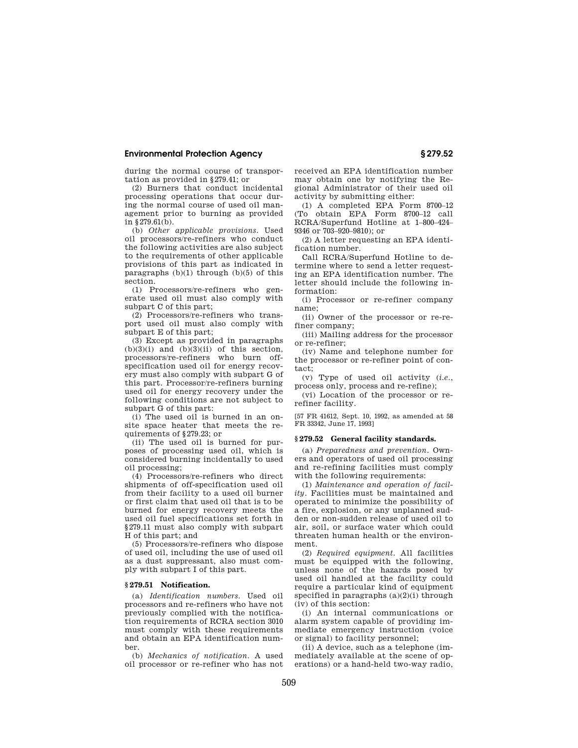during the normal course of transportation as provided in §279.41; or

(2) Burners that conduct incidental processing operations that occur during the normal course of used oil management prior to burning as provided in §279.61(b).

(b) *Other applicable provisions.* Used oil processors/re-refiners who conduct the following activities are also subject to the requirements of other applicable provisions of this part as indicated in paragraphs (b)(1) through (b)(5) of this section.

(1) Processors/re-refiners who generate used oil must also comply with subpart C of this part;

(2) Processors/re-refiners who transport used oil must also comply with subpart E of this part;

(3) Except as provided in paragraphs  $(b)(3)(i)$  and  $(b)(3)(ii)$  of this section, processors/re-refiners who burn offspecification used oil for energy recovery must also comply with subpart G of this part. Processor/re-refiners burning used oil for energy recovery under the following conditions are not subject to subpart G of this part:

(i) The used oil is burned in an onsite space heater that meets the requirements of §279.23; or

(ii) The used oil is burned for purposes of processing used oil, which is considered burning incidentally to used oil processing;

(4) Processors/re-refiners who direct shipments of off-specification used oil from their facility to a used oil burner or first claim that used oil that is to be burned for energy recovery meets the used oil fuel specifications set forth in §279.11 must also comply with subpart H of this part; and

(5) Processors/re-refiners who dispose of used oil, including the use of used oil as a dust suppressant, also must comply with subpart I of this part.

#### **§ 279.51 Notification.**

(a) *Identification numbers.* Used oil processors and re-refiners who have not previously complied with the notification requirements of RCRA section 3010 must comply with these requirements and obtain an EPA identification number.

(b) *Mechanics of notification.* A used oil processor or re-refiner who has not received an EPA identification number may obtain one by notifying the Regional Administrator of their used oil activity by submitting either:

(1) A completed EPA Form 8700–12 (To obtain EPA Form 8700–12 call RCRA/Superfund Hotline at 1–800–424– 9346 or 703–920–9810); or

(2) A letter requesting an EPA identification number.

Call RCRA/Superfund Hotline to determine where to send a letter requesting an EPA identification number. The letter should include the following information:

(i) Processor or re-refiner company name;

(ii) Owner of the processor or re-refiner company;

(iii) Mailing address for the processor or re-refiner;

(iv) Name and telephone number for the processor or re-refiner point of contact;

(v) Type of used oil activity (*i.e.*, process only, process and re-refine);

(vi) Location of the processor or rerefiner facility.

[57 FR 41612, Sept. 10, 1992, as amended at 58 FR 33342, June 17, 1993]

#### **§ 279.52 General facility standards.**

(a) *Preparedness and prevention.* Owners and operators of used oil processing and re-refining facilities must comply with the following requirements:

(1) *Maintenance and operation of facility.* Facilities must be maintained and operated to minimize the possibility of a fire, explosion, or any unplanned sudden or non-sudden release of used oil to air, soil, or surface water which could threaten human health or the environment.

(2) *Required equipment.* All facilities must be equipped with the following, unless none of the hazards posed by used oil handled at the facility could require a particular kind of equipment specified in paragraphs (a)(2)(i) through (iv) of this section:

(i) An internal communications or alarm system capable of providing immediate emergency instruction (voice or signal) to facility personnel;

(ii) A device, such as a telephone (immediately available at the scene of operations) or a hand-held two-way radio,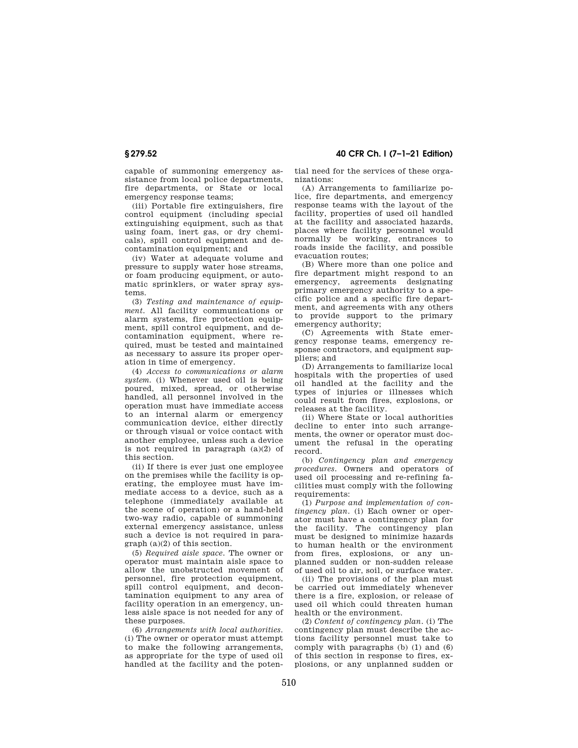capable of summoning emergency assistance from local police departments, fire departments, or State or local emergency response teams;

(iii) Portable fire extinguishers, fire control equipment (including special extinguishing equipment, such as that using foam, inert gas, or dry chemicals), spill control equipment and decontamination equipment; and

(iv) Water at adequate volume and pressure to supply water hose streams, or foam producing equipment, or automatic sprinklers, or water spray systems.

(3) *Testing and maintenance of equipment.* All facility communications or alarm systems, fire protection equipment, spill control equipment, and decontamination equipment, where required, must be tested and maintained as necessary to assure its proper operation in time of emergency.

(4) *Access to communications or alarm system.* (i) Whenever used oil is being poured, mixed, spread, or otherwise handled, all personnel involved in the operation must have immediate access to an internal alarm or emergency communication device, either directly or through visual or voice contact with another employee, unless such a device is not required in paragraph  $(a)(2)$  of this section.

(ii) If there is ever just one employee on the premises while the facility is operating, the employee must have immediate access to a device, such as a telephone (immediately available at the scene of operation) or a hand-held two-way radio, capable of summoning external emergency assistance, unless such a device is not required in paragraph (a)(2) of this section.

(5) *Required aisle space.* The owner or operator must maintain aisle space to allow the unobstructed movement of personnel, fire protection equipment, spill control equipment, and decontamination equipment to any area of facility operation in an emergency, unless aisle space is not needed for any of these purposes.

(6) *Arrangements with local authorities.*  (i) The owner or operator must attempt to make the following arrangements, as appropriate for the type of used oil handled at the facility and the poten-

**§ 279.52 40 CFR Ch. I (7–1–21 Edition)** 

tial need for the services of these organizations:

(A) Arrangements to familiarize police, fire departments, and emergency response teams with the layout of the facility, properties of used oil handled at the facility and associated hazards, places where facility personnel would normally be working, entrances to roads inside the facility, and possible evacuation routes;

(B) Where more than one police and fire department might respond to an emergency, agreements designating primary emergency authority to a specific police and a specific fire department, and agreements with any others to provide support to the primary emergency authority;

(C) Agreements with State emergency response teams, emergency response contractors, and equipment suppliers; and

(D) Arrangements to familiarize local hospitals with the properties of used oil handled at the facility and the types of injuries or illnesses which could result from fires, explosions, or releases at the facility.

(ii) Where State or local authorities decline to enter into such arrangements, the owner or operator must document the refusal in the operating record.

(b) *Contingency plan and emergency procedures.* Owners and operators of used oil processing and re-refining facilities must comply with the following requirements:

(1) *Purpose and implementation of contingency plan.* (i) Each owner or operator must have a contingency plan for the facility. The contingency plan must be designed to minimize hazards to human health or the environment from fires, explosions, or any unplanned sudden or non-sudden release of used oil to air, soil, or surface water.

(ii) The provisions of the plan must be carried out immediately whenever there is a fire, explosion, or release of used oil which could threaten human health or the environment.

(2) *Content of contingency plan.* (i) The contingency plan must describe the actions facility personnel must take to comply with paragraphs (b) (1) and (6) of this section in response to fires, explosions, or any unplanned sudden or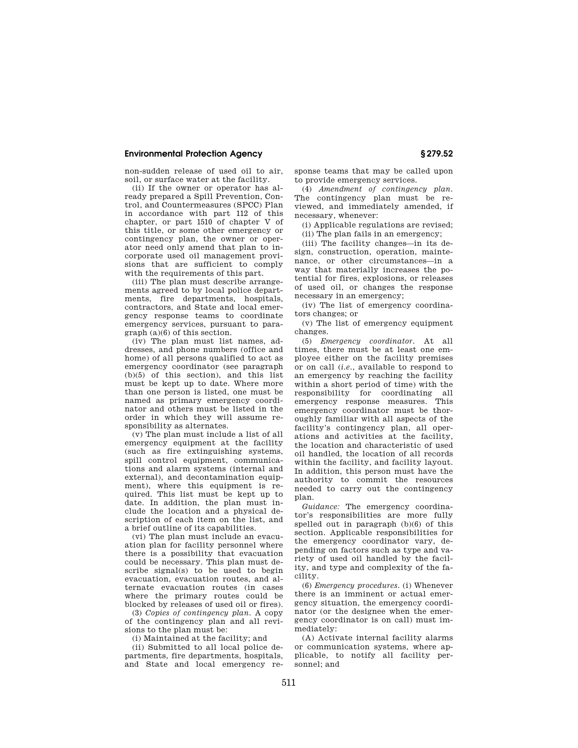non-sudden release of used oil to air, soil, or surface water at the facility.

(ii) If the owner or operator has already prepared a Spill Prevention, Control, and Countermeasures (SPCC) Plan in accordance with part 112 of this chapter, or part 1510 of chapter V of this title, or some other emergency or contingency plan, the owner or operator need only amend that plan to incorporate used oil management provisions that are sufficient to comply with the requirements of this part.

(iii) The plan must describe arrangements agreed to by local police departments, fire departments, hospitals, contractors, and State and local emergency response teams to coordinate emergency services, pursuant to paragraph (a)(6) of this section.

(iv) The plan must list names, addresses, and phone numbers (office and home) of all persons qualified to act as emergency coordinator (see paragraph (b)(5) of this section), and this list must be kept up to date. Where more than one person is listed, one must be named as primary emergency coordinator and others must be listed in the order in which they will assume responsibility as alternates.

(v) The plan must include a list of all emergency equipment at the facility (such as fire extinguishing systems, spill control equipment, communications and alarm systems (internal and external), and decontamination equipment), where this equipment is required. This list must be kept up to date. In addition, the plan must include the location and a physical description of each item on the list, and a brief outline of its capabilities.

(vi) The plan must include an evacuation plan for facility personnel where there is a possibility that evacuation could be necessary. This plan must describe signal(s) to be used to begin evacuation, evacuation routes, and alternate evacuation routes (in cases where the primary routes could be blocked by releases of used oil or fires).

(3) *Copies of contingency plan.* A copy of the contingency plan and all revisions to the plan must be:

(i) Maintained at the facility; and

(ii) Submitted to all local police departments, fire departments, hospitals, and State and local emergency response teams that may be called upon to provide emergency services.

(4) *Amendment of contingency plan.*  The contingency plan must be reviewed, and immediately amended, if necessary, whenever:

(i) Applicable regulations are revised;

(ii) The plan fails in an emergency;

(iii) The facility changes—in its design, construction, operation, maintenance, or other circumstances—in a way that materially increases the potential for fires, explosions, or releases of used oil, or changes the response necessary in an emergency;

(iv) The list of emergency coordinators changes; or

(v) The list of emergency equipment changes.

(5) *Emergency coordinator.* At all times, there must be at least one employee either on the facility premises or on call (*i.e.*, available to respond to an emergency by reaching the facility within a short period of time) with the responsibility for coordinating all emergency response measures. This emergency coordinator must be thoroughly familiar with all aspects of the facility's contingency plan, all operations and activities at the facility, the location and characteristic of used oil handled, the location of all records within the facility, and facility layout. In addition, this person must have the authority to commit the resources needed to carry out the contingency plan.

*Guidance:* The emergency coordinator's responsibilities are more fully spelled out in paragraph (b)(6) of this section. Applicable responsibilities for the emergency coordinator vary, depending on factors such as type and variety of used oil handled by the facility, and type and complexity of the facility.

(6) *Emergency procedures.* (i) Whenever there is an imminent or actual emergency situation, the emergency coordinator (or the designee when the emergency coordinator is on call) must immediately:

(A) Activate internal facility alarms or communication systems, where applicable, to notify all facility personnel; and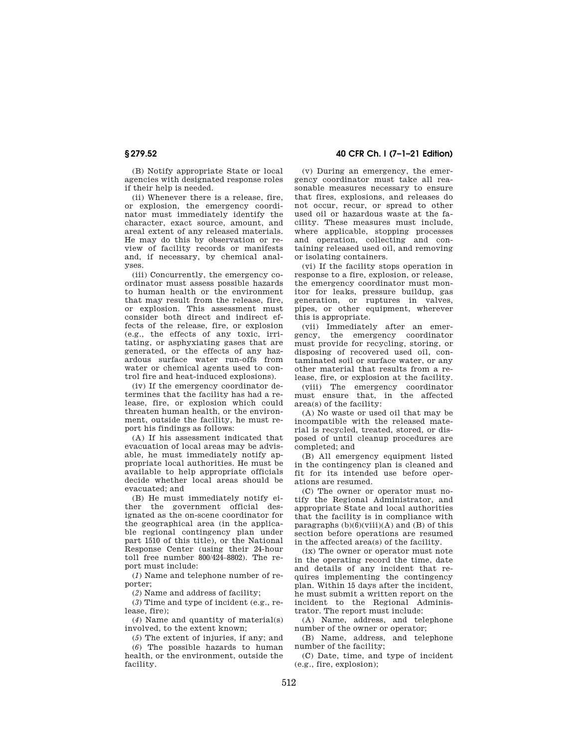(B) Notify appropriate State or local agencies with designated response roles if their help is needed.

(ii) Whenever there is a release, fire, or explosion, the emergency coordinator must immediately identify the character, exact source, amount, and areal extent of any released materials. He may do this by observation or review of facility records or manifests and, if necessary, by chemical analyses.

(iii) Concurrently, the emergency coordinator must assess possible hazards to human health or the environment that may result from the release, fire, or explosion. This assessment must consider both direct and indirect effects of the release, fire, or explosion (e.g., the effects of any toxic, irritating, or asphyxiating gases that are generated, or the effects of any hazardous surface water run-offs from water or chemical agents used to control fire and heat-induced explosions).

(iv) If the emergency coordinator determines that the facility has had a release, fire, or explosion which could threaten human health, or the environment, outside the facility, he must report his findings as follows:

(A) If his assessment indicated that evacuation of local areas may be advisable, he must immediately notify appropriate local authorities. He must be available to help appropriate officials decide whether local areas should be evacuated; and

(B) He must immediately notify either the government official designated as the on-scene coordinator for the geographical area (in the applicable regional contingency plan under part 1510 of this title), or the National Response Center (using their 24-hour toll free number 800/424–8802). The report must include:

(*1*) Name and telephone number of reporter;

(*2*) Name and address of facility;

(*3*) Time and type of incident (e.g., release, fire);

(*4*) Name and quantity of material(s) involved, to the extent known;

(*5*) The extent of injuries, if any; and

(*6*) The possible hazards to human health, or the environment, outside the facility.

# **§ 279.52 40 CFR Ch. I (7–1–21 Edition)**

(v) During an emergency, the emergency coordinator must take all reasonable measures necessary to ensure that fires, explosions, and releases do not occur, recur, or spread to other used oil or hazardous waste at the facility. These measures must include, where applicable, stopping processes and operation, collecting and containing released used oil, and removing or isolating containers.

(vi) If the facility stops operation in response to a fire, explosion, or release, the emergency coordinator must monitor for leaks, pressure buildup, gas generation, or ruptures in valves, pipes, or other equipment, wherever this is appropriate.

(vii) Immediately after an emergency, the emergency coordinator must provide for recycling, storing, or disposing of recovered used oil, contaminated soil or surface water, or any other material that results from a release, fire, or explosion at the facility.

(viii) The emergency coordinator must ensure that, in the affected area(s) of the facility:

(A) No waste or used oil that may be incompatible with the released material is recycled, treated, stored, or disposed of until cleanup procedures are completed; and

(B) All emergency equipment listed in the contingency plan is cleaned and fit for its intended use before operations are resumed.

(C) The owner or operator must notify the Regional Administrator, and appropriate State and local authorities that the facility is in compliance with paragraphs  $(b)(6)(viii)(A)$  and  $(B)$  of this section before operations are resumed in the affected area(s) of the facility.

(ix) The owner or operator must note in the operating record the time, date and details of any incident that requires implementing the contingency plan. Within 15 days after the incident, he must submit a written report on the incident to the Regional Administrator. The report must include:

(A) Name, address, and telephone number of the owner or operator;

(B) Name, address, and telephone number of the facility;

(C) Date, time, and type of incident (e.g., fire, explosion);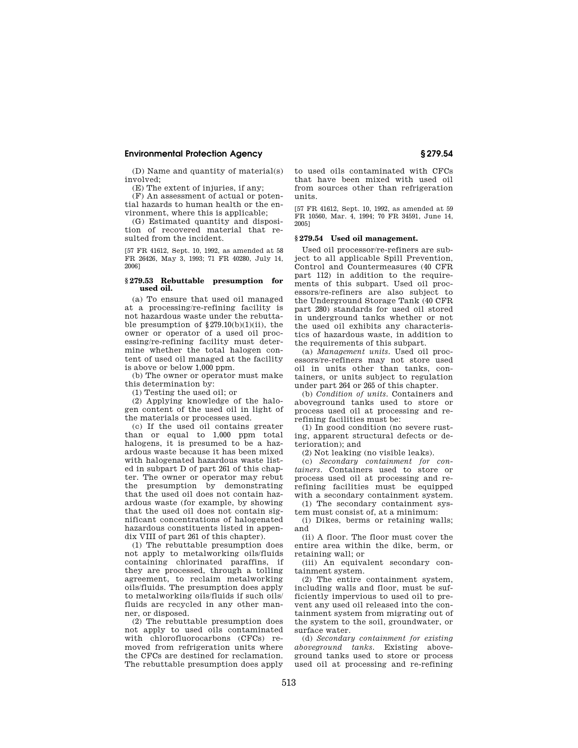(D) Name and quantity of material(s) involved;

(E) The extent of injuries, if any;

(F) An assessment of actual or potential hazards to human health or the environment, where this is applicable;

(G) Estimated quantity and disposition of recovered material that resulted from the incident.

[57 FR 41612, Sept. 10, 1992, as amended at 58 FR 26426, May 3, 1993; 71 FR 40280, July 14, 2006]

#### **§ 279.53 Rebuttable presumption for used oil.**

(a) To ensure that used oil managed at a processing/re-refining facility is not hazardous waste under the rebuttable presumption of  $$279.10(b)(1)(ii)$ , the owner or operator of a used oil processing/re-refining facility must determine whether the total halogen content of used oil managed at the facility is above or below 1,000 ppm.

(b) The owner or operator must make this determination by:

(1) Testing the used oil; or

(2) Applying knowledge of the halogen content of the used oil in light of the materials or processes used.

(c) If the used oil contains greater than or equal to 1,000 ppm total halogens, it is presumed to be a hazardous waste because it has been mixed with halogenated hazardous waste listed in subpart D of part 261 of this chapter. The owner or operator may rebut the presumption by demonstrating that the used oil does not contain hazardous waste (for example, by showing that the used oil does not contain significant concentrations of halogenated hazardous constituents listed in appendix VIII of part 261 of this chapter).

(1) The rebuttable presumption does not apply to metalworking oils/fluids containing chlorinated paraffins, if they are processed, through a tolling agreement, to reclaim metalworking oils/fluids. The presumption does apply to metalworking oils/fluids if such oils/ fluids are recycled in any other manner, or disposed.

(2) The rebuttable presumption does not apply to used oils contaminated with chlorofluorocarbons (CFCs) removed from refrigeration units where the CFCs are destined for reclamation. The rebuttable presumption does apply to used oils contaminated with CFCs that have been mixed with used oil from sources other than refrigeration units.

[57 FR 41612, Sept. 10, 1992, as amended at 59 FR 10560, Mar. 4, 1994; 70 FR 34591, June 14, 2005]

#### **§ 279.54 Used oil management.**

Used oil processor/re-refiners are subject to all applicable Spill Prevention, Control and Countermeasures (40 CFR part 112) in addition to the requirements of this subpart. Used oil processors/re-refiners are also subject to the Underground Storage Tank (40 CFR part 280) standards for used oil stored in underground tanks whether or not the used oil exhibits any characteristics of hazardous waste, in addition to the requirements of this subpart.

(a) *Management units.* Used oil processors/re-refiners may not store used oil in units other than tanks, containers, or units subject to regulation under part 264 or 265 of this chapter.

(b) *Condition of units.* Containers and aboveground tanks used to store or process used oil at processing and rerefining facilities must be:

(1) In good condition (no severe rusting, apparent structural defects or deterioration); and

(2) Not leaking (no visible leaks).

(c) *Secondary containment for containers.* Containers used to store or process used oil at processing and rerefining facilities must be equipped with a secondary containment system.

(1) The secondary containment system must consist of, at a minimum:

(i) Dikes, berms or retaining walls; and

(ii) A floor. The floor must cover the entire area within the dike, berm, or retaining wall; or

(iii) An equivalent secondary containment system.

(2) The entire containment system, including walls and floor, must be sufficiently impervious to used oil to prevent any used oil released into the containment system from migrating out of the system to the soil, groundwater, or surface water.

(d) *Secondary containment for existing aboveground tanks.* Existing aboveground tanks used to store or process used oil at processing and re-refining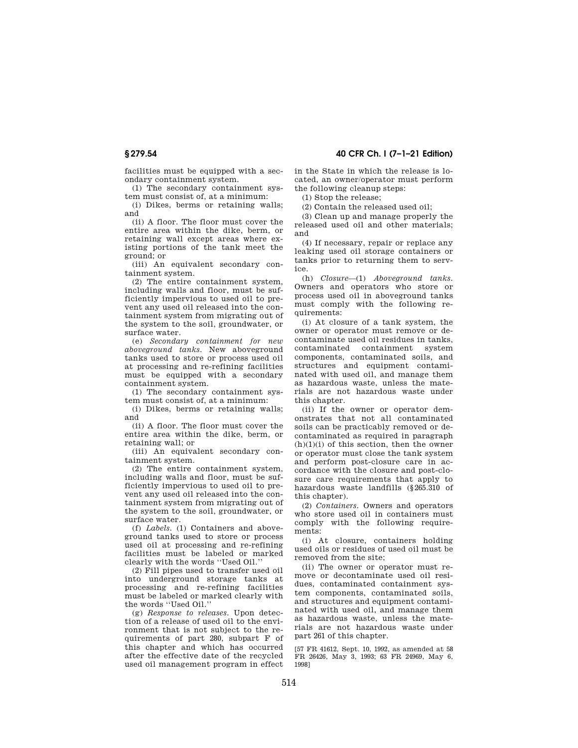facilities must be equipped with a secondary containment system.

(1) The secondary containment system must consist of, at a minimum:

(i) Dikes, berms or retaining walls; and

(ii) A floor. The floor must cover the entire area within the dike, berm, or retaining wall except areas where existing portions of the tank meet the ground; or

(iii) An equivalent secondary containment system.

(2) The entire containment system, including walls and floor, must be sufficiently impervious to used oil to prevent any used oil released into the containment system from migrating out of the system to the soil, groundwater, or surface water.

(e) *Secondary containment for new aboveground tanks.* New aboveground tanks used to store or process used oil at processing and re-refining facilities must be equipped with a secondary containment system.

(1) The secondary containment system must consist of, at a minimum:

(i) Dikes, berms or retaining walls; and

(ii) A floor. The floor must cover the entire area within the dike, berm, or retaining wall; or

(iii) An equivalent secondary containment system.

(2) The entire containment system, including walls and floor, must be sufficiently impervious to used oil to prevent any used oil released into the containment system from migrating out of the system to the soil, groundwater, or surface water.

(f) *Labels.* (1) Containers and aboveground tanks used to store or process used oil at processing and re-refining facilities must be labeled or marked clearly with the words ''Used Oil.''

(2) Fill pipes used to transfer used oil into underground storage tanks at processing and re-refining facilities must be labeled or marked clearly with the words ''Used Oil.''

(g) *Response to releases.* Upon detection of a release of used oil to the environment that is not subject to the requirements of part 280, subpart F of this chapter and which has occurred after the effective date of the recycled used oil management program in effect

**§ 279.54 40 CFR Ch. I (7–1–21 Edition)** 

in the State in which the release is located, an owner/operator must perform the following cleanup steps:

(1) Stop the release;

(2) Contain the released used oil;

(3) Clean up and manage properly the released used oil and other materials; and

(4) If necessary, repair or replace any leaking used oil storage containers or tanks prior to returning them to service.

(h) *Closure*—(1) *Aboveground tanks.*  Owners and operators who store or process used oil in aboveground tanks must comply with the following requirements:

(i) At closure of a tank system, the owner or operator must remove or decontaminate used oil residues in tanks, contaminated containment system components, contaminated soils, and structures and equipment contaminated with used oil, and manage them as hazardous waste, unless the materials are not hazardous waste under this chapter.

(ii) If the owner or operator demonstrates that not all contaminated soils can be practicably removed or decontaminated as required in paragraph  $(h)(1)(i)$  of this section, then the owner or operator must close the tank system and perform post-closure care in accordance with the closure and post-closure care requirements that apply to hazardous waste landfills (§265.310 of this chapter).

(2) *Containers.* Owners and operators who store used oil in containers must comply with the following requirements:

(i) At closure, containers holding used oils or residues of used oil must be removed from the site;

(ii) The owner or operator must remove or decontaminate used oil residues, contaminated containment system components, contaminated soils, and structures and equipment contaminated with used oil, and manage them as hazardous waste, unless the materials are not hazardous waste under part 261 of this chapter.

[57 FR 41612, Sept. 10, 1992, as amended at 58 FR 26426, May 3, 1993; 63 FR 24969, May 6, 1998]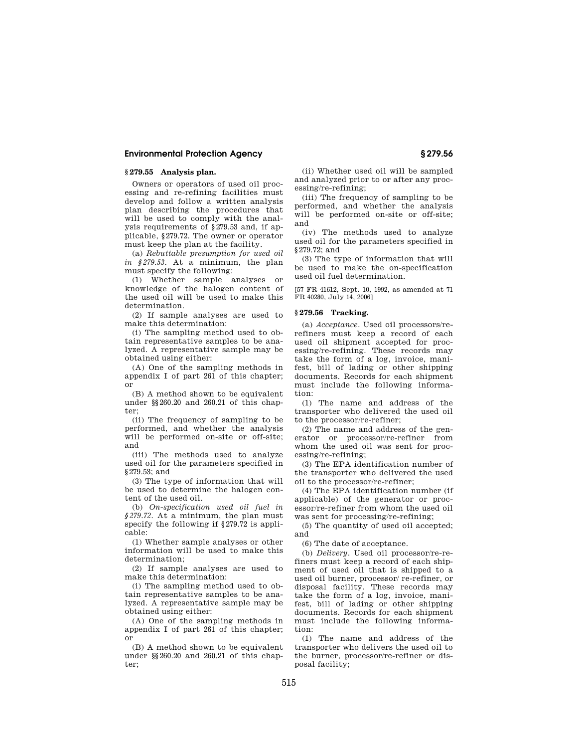# **§ 279.55 Analysis plan.**

Owners or operators of used oil processing and re-refining facilities must develop and follow a written analysis plan describing the procedures that will be used to comply with the analysis requirements of §279.53 and, if applicable, §279.72. The owner or operator must keep the plan at the facility.

(a) *Rebuttable presumption for used oil in §279.53.* At a minimum, the plan must specify the following:

(1) Whether sample analyses or knowledge of the halogen content of the used oil will be used to make this determination.

(2) If sample analyses are used to make this determination:

(i) The sampling method used to obtain representative samples to be analyzed. A representative sample may be obtained using either:

(A) One of the sampling methods in appendix I of part 261 of this chapter; or

(B) A method shown to be equivalent under §§260.20 and 260.21 of this chapter;

(ii) The frequency of sampling to be performed, and whether the analysis will be performed on-site or off-site; and

(iii) The methods used to analyze used oil for the parameters specified in §279.53; and

(3) The type of information that will be used to determine the halogen content of the used oil.

(b) *On-specification used oil fuel in §279.72.* At a minimum, the plan must specify the following if §279.72 is applicable:

(1) Whether sample analyses or other information will be used to make this determination;

(2) If sample analyses are used to make this determination:

(i) The sampling method used to obtain representative samples to be analyzed. A representative sample may be obtained using either:

(A) One of the sampling methods in appendix I of part 261 of this chapter; or

(B) A method shown to be equivalent under §§260.20 and 260.21 of this chapter;

(ii) Whether used oil will be sampled and analyzed prior to or after any processing/re-refining;

(iii) The frequency of sampling to be performed, and whether the analysis will be performed on-site or off-site; and

(iv) The methods used to analyze used oil for the parameters specified in §279.72; and

(3) The type of information that will be used to make the on-specification used oil fuel determination.

[57 FR 41612, Sept. 10, 1992, as amended at 71 FR 40280, July 14, 2006]

# **§ 279.56 Tracking.**

(a) *Acceptance.* Used oil processors/rerefiners must keep a record of each used oil shipment accepted for processing/re-refining. These records may take the form of a log, invoice, manifest, bill of lading or other shipping documents. Records for each shipment must include the following information:

(1) The name and address of the transporter who delivered the used oil to the processor/re-refiner;

(2) The name and address of the generator or processor/re-refiner from whom the used oil was sent for processing/re-refining;

(3) The EPA identification number of the transporter who delivered the used oil to the processor/re-refiner;

(4) The EPA identification number (if applicable) of the generator or processor/re-refiner from whom the used oil was sent for processing/re-refining;

(5) The quantity of used oil accepted; and

(6) The date of acceptance.

(b) *Delivery.* Used oil processor/re-refiners must keep a record of each shipment of used oil that is shipped to a used oil burner, processor/ re-refiner, or disposal facility. These records may take the form of a log, invoice, manifest, bill of lading or other shipping documents. Records for each shipment must include the following information:

(1) The name and address of the transporter who delivers the used oil to the burner, processor/re-refiner or disposal facility;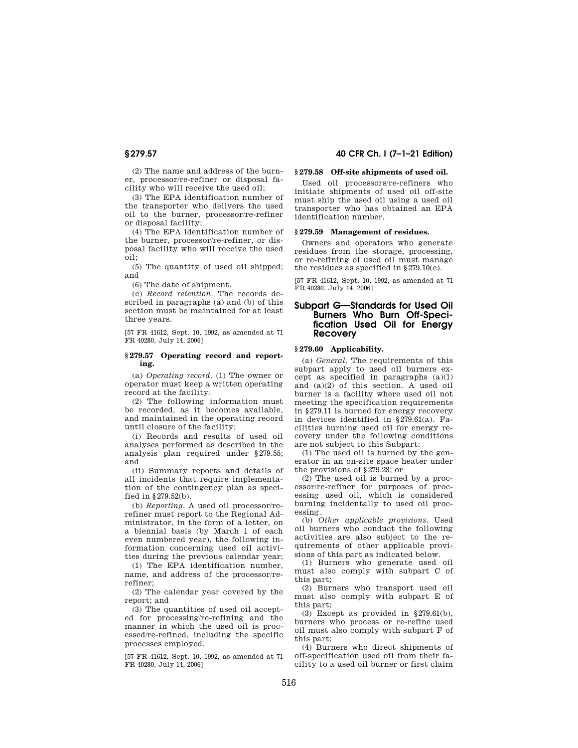(2) The name and address of the burner, processor/re-refiner or disposal facility who will receive the used oil;

(3) The EPA identification number of the transporter who delivers the used oil to the burner, processor/re-refiner or disposal facility;

(4) The EPA identification number of the burner, processor/re-refiner, or disposal facility who will receive the used  $\theta$ <sup>il</sup>;

(5) The quantity of used oil shipped; and

(6) The date of shipment.

(c) *Record retention.* The records described in paragraphs (a) and (b) of this section must be maintained for at least three years.

[57 FR 41612, Sept. 10, 1992, as amended at 71 FR 40280, July 14, 2006]

#### **§ 279.57 Operating record and reporting.**

(a) *Operating record.* (1) The owner or operator must keep a written operating record at the facility.

(2) The following information must be recorded, as it becomes available, and maintained in the operating record until closure of the facility;

(i) Records and results of used oil analyses performed as described in the analysis plan required under §279.55; and

(ii) Summary reports and details of all incidents that require implementation of the contingency plan as specified in §279.52(b).

(b) *Reporting.* A used oil processor/rerefiner must report to the Regional Administrator, in the form of a letter, on a biennial basis (by March 1 of each even numbered year), the following information concerning used oil activities during the previous calendar year;

(1) The EPA identification number, name, and address of the processor/rerefiner;

(2) The calendar year covered by the report; and

(3) The quantities of used oil accepted for processing/re-refining and the manner in which the used oil is processed/re-refined, including the specific processes employed.

[57 FR 41612, Sept. 10, 1992, as amended at 71 FR 40280, July 14, 2006]

# **§ 279.57 40 CFR Ch. I (7–1–21 Edition)**

# **§ 279.58 Off-site shipments of used oil.**

Used oil processors/re-refiners who initiate shipments of used oil off-site must ship the used oil using a used oil transporter who has obtained an EPA identification number.

# **§ 279.59 Management of residues.**

Owners and operators who generate residues from the storage, processing, or re-refining of used oil must manage the residues as specified in §279.10(e).

[57 FR 41612, Sept. 10, 1992, as amended at 71 FR 40280, July 14, 2006]

# **Subpart G—Standards for Used Oil Burners Who Burn Off-Specification Used Oil for Energy Recovery**

#### **§ 279.60 Applicability.**

(a) *General.* The requirements of this subpart apply to used oil burners except as specified in paragraphs  $(a)(1)$ and (a)(2) of this section. A used oil burner is a facility where used oil not meeting the specification requirements in §279.11 is burned for energy recovery in devices identified in §279.61(a). Facilities burning used oil for energy recovery under the following conditions are not subject to this Subpart:

(1) The used oil is burned by the generator in an on-site space heater under the provisions of §279.23; or

(2) The used oil is burned by a processor/re-refiner for purposes of processing used oil, which is considered burning incidentally to used oil processing.

(b) *Other applicable provisions.* Used oil burners who conduct the following activities are also subject to the requirements of other applicable provisions of this part as indicated below.

(1) Burners who generate used oil must also comply with subpart C of this part;

(2) Burners who transport used oil must also comply with subpart E of this part;

(3) Except as provided in §279.61(b), burners who process or re-refine used oil must also comply with subpart F of this part;

(4) Burners who direct shipments of off-specification used oil from their facility to a used oil burner or first claim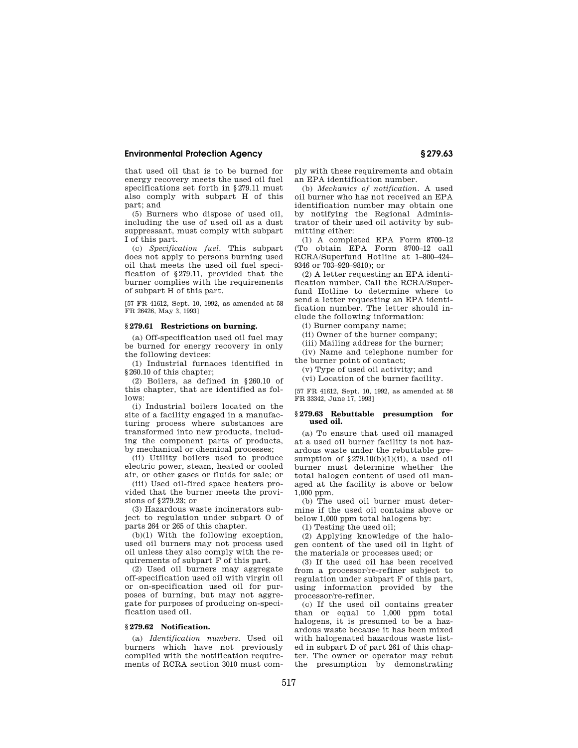that used oil that is to be burned for energy recovery meets the used oil fuel specifications set forth in §279.11 must also comply with subpart H of this part; and

(5) Burners who dispose of used oil, including the use of used oil as a dust suppressant, must comply with subpart I of this part.

(c) *Specification fuel.* This subpart does not apply to persons burning used oil that meets the used oil fuel specification of §279.11, provided that the burner complies with the requirements of subpart H of this part.

[57 FR 41612, Sept. 10, 1992, as amended at 58 FR 26426, May 3, 1993]

# **§ 279.61 Restrictions on burning.**

(a) Off-specification used oil fuel may be burned for energy recovery in only the following devices:

(1) Industrial furnaces identified in §260.10 of this chapter;

(2) Boilers, as defined in §260.10 of this chapter, that are identified as follows:

(i) Industrial boilers located on the site of a facility engaged in a manufacturing process where substances are transformed into new products, including the component parts of products, by mechanical or chemical processes;

(ii) Utility boilers used to produce electric power, steam, heated or cooled air, or other gases or fluids for sale; or

(iii) Used oil-fired space heaters provided that the burner meets the provisions of §279.23; or

(3) Hazardous waste incinerators subject to regulation under subpart O of parts 264 or 265 of this chapter.

(b)(1) With the following exception, used oil burners may not process used oil unless they also comply with the requirements of subpart F of this part.

(2) Used oil burners may aggregate off-specification used oil with virgin oil or on-specification used oil for purposes of burning, but may not aggregate for purposes of producing on-specification used oil.

# **§ 279.62 Notification.**

(a) *Identification numbers.* Used oil burners which have not previously complied with the notification requirements of RCRA section 3010 must comply with these requirements and obtain an EPA identification number.

(b) *Mechanics of notification.* A used oil burner who has not received an EPA identification number may obtain one by notifying the Regional Administrator of their used oil activity by submitting either:

(1) A completed EPA Form 8700–12 (To obtain EPA Form 8700–12 call RCRA/Superfund Hotline at 1–800–424– 9346 or 703–920–9810); or

(2) A letter requesting an EPA identification number. Call the RCRA/Superfund Hotline to determine where to send a letter requesting an EPA identification number. The letter should include the following information:

(i) Burner company name;

(ii) Owner of the burner company;

(iii) Mailing address for the burner;

(iv) Name and telephone number for the burner point of contact;

(v) Type of used oil activity; and

(vi) Location of the burner facility.

[57 FR 41612, Sept. 10, 1992, as amended at 58 FR 33342, June 17, 1993]

#### **§ 279.63 Rebuttable presumption for used oil.**

(a) To ensure that used oil managed at a used oil burner facility is not hazardous waste under the rebuttable presumption of  $§279.10(b)(1)(ii)$ , a used oil burner must determine whether the total halogen content of used oil managed at the facility is above or below 1,000 ppm.

(b) The used oil burner must determine if the used oil contains above or below 1,000 ppm total halogens by:

(1) Testing the used oil;

(2) Applying knowledge of the halogen content of the used oil in light of the materials or processes used; or

(3) If the used oil has been received from a processor/re-refiner subject to regulation under subpart F of this part, using information provided by the processor/re-refiner.

(c) If the used oil contains greater than or equal to 1,000 ppm total halogens, it is presumed to be a hazardous waste because it has been mixed with halogenated hazardous waste listed in subpart D of part 261 of this chapter. The owner or operator may rebut the presumption by demonstrating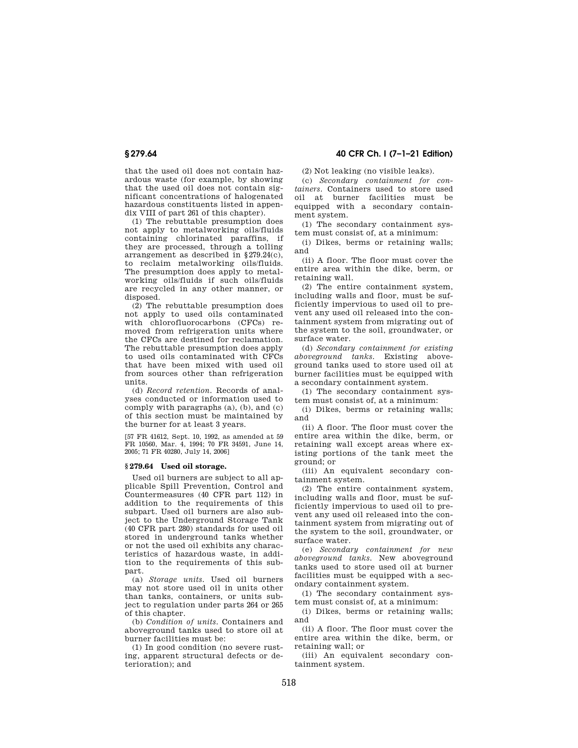that the used oil does not contain hazardous waste (for example, by showing that the used oil does not contain significant concentrations of halogenated hazardous constituents listed in appendix VIII of part 261 of this chapter).

(1) The rebuttable presumption does not apply to metalworking oils/fluids containing chlorinated paraffins, if they are processed, through a tolling arrangement as described in §279.24(c), to reclaim metalworking oils/fluids. The presumption does apply to metalworking oils/fluids if such oils/fluids are recycled in any other manner, or disposed.

(2) The rebuttable presumption does not apply to used oils contaminated with chlorofluorocarbons (CFCs) removed from refrigeration units where the CFCs are destined for reclamation. The rebuttable presumption does apply to used oils contaminated with CFCs that have been mixed with used oil from sources other than refrigeration units.

(d) *Record retention.* Records of analyses conducted or information used to comply with paragraphs (a), (b), and (c) of this section must be maintained by the burner for at least 3 years.

[57 FR 41612, Sept. 10, 1992, as amended at 59 FR 10560, Mar. 4, 1994; 70 FR 34591, June 14, 2005; 71 FR 40280, July 14, 2006]

### **§ 279.64 Used oil storage.**

Used oil burners are subject to all applicable Spill Prevention, Control and Countermeasures (40 CFR part 112) in addition to the requirements of this subpart. Used oil burners are also subject to the Underground Storage Tank (40 CFR part 280) standards for used oil stored in underground tanks whether or not the used oil exhibits any characteristics of hazardous waste, in addition to the requirements of this subpart.

(a) *Storage units.* Used oil burners may not store used oil in units other than tanks, containers, or units subject to regulation under parts 264 or 265 of this chapter.

(b) *Condition of units.* Containers and aboveground tanks used to store oil at burner facilities must be:

(1) In good condition (no severe rusting, apparent structural defects or deterioration); and

# **§ 279.64 40 CFR Ch. I (7–1–21 Edition)**

(2) Not leaking (no visible leaks).

(c) *Secondary containment for containers.* Containers used to store used oil at burner facilities must be equipped with a secondary containment system.

(1) The secondary containment system must consist of, at a minimum:

(i) Dikes, berms or retaining walls; and

(ii) A floor. The floor must cover the entire area within the dike, berm, or retaining wall.

(2) The entire containment system, including walls and floor, must be sufficiently impervious to used oil to prevent any used oil released into the containment system from migrating out of the system to the soil, groundwater, or surface water.

(d) *Secondary containment for existing aboveground tanks.* Existing aboveground tanks used to store used oil at burner facilities must be equipped with a secondary containment system.

(1) The secondary containment system must consist of, at a minimum:

(i) Dikes, berms or retaining walls; and

(ii) A floor. The floor must cover the entire area within the dike, berm, or retaining wall except areas where existing portions of the tank meet the ground; or

(iii) An equivalent secondary containment system.

(2) The entire containment system, including walls and floor, must be sufficiently impervious to used oil to prevent any used oil released into the containment system from migrating out of the system to the soil, groundwater, or surface water.

(e) *Secondary containment for new aboveground tanks.* New aboveground tanks used to store used oil at burner facilities must be equipped with a secondary containment system.

(1) The secondary containment system must consist of, at a minimum:

(i) Dikes, berms or retaining walls; and

(ii) A floor. The floor must cover the entire area within the dike, berm, or retaining wall; or

(iii) An equivalent secondary containment system.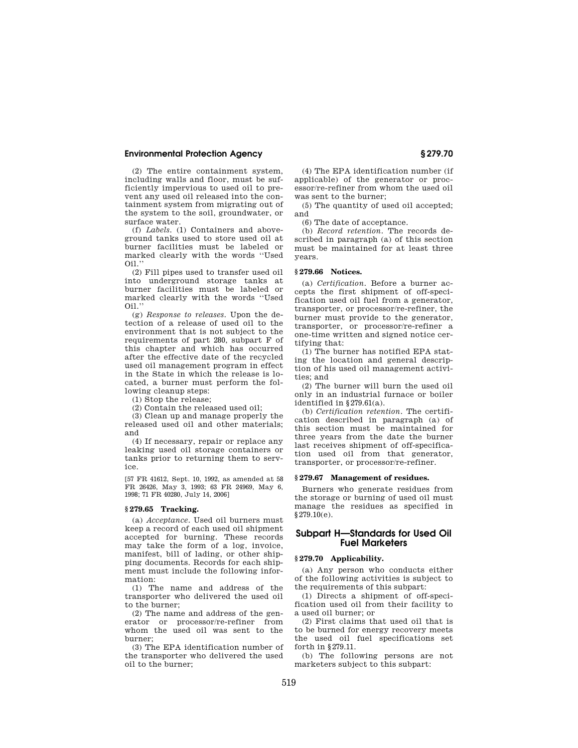(2) The entire containment system, including walls and floor, must be sufficiently impervious to used oil to prevent any used oil released into the containment system from migrating out of the system to the soil, groundwater, or surface water.

(f) *Labels.* (1) Containers and aboveground tanks used to store used oil at burner facilities must be labeled or marked clearly with the words ''Used Oil.''

(2) Fill pipes used to transfer used oil into underground storage tanks at burner facilities must be labeled or marked clearly with the words ''Used Oil.''

(g) *Response to releases.* Upon the detection of a release of used oil to the environment that is not subject to the requirements of part 280, subpart F of this chapter and which has occurred after the effective date of the recycled used oil management program in effect in the State in which the release is located, a burner must perform the following cleanup steps:

(1) Stop the release;

(2) Contain the released used oil;

(3) Clean up and manage properly the released used oil and other materials; and

(4) If necessary, repair or replace any leaking used oil storage containers or tanks prior to returning them to service.

[57 FR 41612, Sept. 10, 1992, as amended at 58 FR 26426, May 3, 1993; 63 FR 24969, May 6, 1998; 71 FR 40280, July 14, 2006]

#### **§ 279.65 Tracking.**

(a) *Acceptance.* Used oil burners must keep a record of each used oil shipment accepted for burning. These records may take the form of a log, invoice, manifest, bill of lading, or other shipping documents. Records for each shipment must include the following information:

(1) The name and address of the transporter who delivered the used oil to the burner;

(2) The name and address of the generator or processor/re-refiner from whom the used oil was sent to the burner;

(3) The EPA identification number of the transporter who delivered the used oil to the burner;

(4) The EPA identification number (if applicable) of the generator or processor/re-refiner from whom the used oil was sent to the burner;

(5) The quantity of used oil accepted; and

(6) The date of acceptance.

(b) *Record retention.* The records described in paragraph (a) of this section must be maintained for at least three years.

#### **§ 279.66 Notices.**

(a) *Certification.* Before a burner accepts the first shipment of off-specification used oil fuel from a generator, transporter, or processor/re-refiner, the burner must provide to the generator, transporter, or processor/re-refiner a one-time written and signed notice certifying that:

(1) The burner has notified EPA stating the location and general description of his used oil management activities; and

(2) The burner will burn the used oil only in an industrial furnace or boiler identified in §279.61(a).

(b) *Certification retention.* The certification described in paragraph (a) of this section must be maintained for three years from the date the burner last receives shipment of off-specification used oil from that generator, transporter, or processor/re-refiner.

#### **§ 279.67 Management of residues.**

Burners who generate residues from the storage or burning of used oil must manage the residues as specified in  $§279.10(e)$ .

# **Subpart H—Standards for Used Oil Fuel Marketers**

### **§ 279.70 Applicability.**

(a) Any person who conducts either of the following activities is subject to the requirements of this subpart:

(1) Directs a shipment of off-specification used oil from their facility to a used oil burner; or

(2) First claims that used oil that is to be burned for energy recovery meets the used oil fuel specifications set forth in §279.11.

(b) The following persons are not marketers subject to this subpart: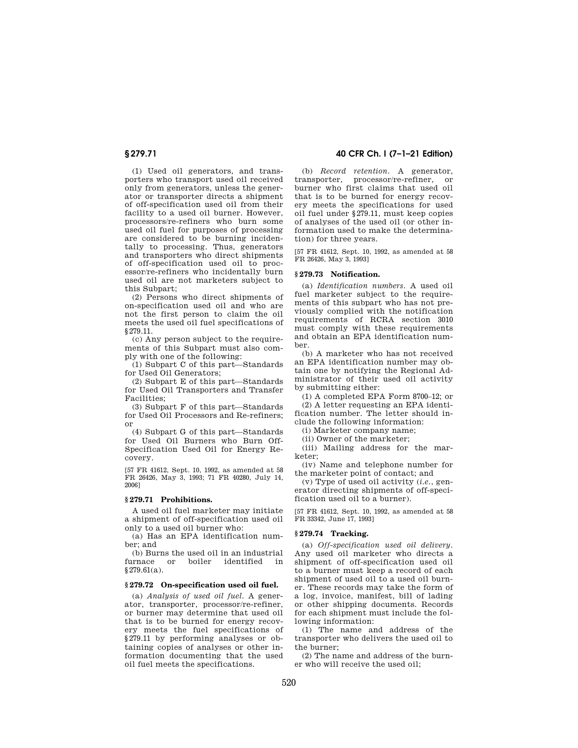(1) Used oil generators, and transporters who transport used oil received only from generators, unless the generator or transporter directs a shipment of off-specification used oil from their facility to a used oil burner. However, processors/re-refiners who burn some used oil fuel for purposes of processing are considered to be burning incidentally to processing. Thus, generators and transporters who direct shipments of off-specification used oil to processor/re-refiners who incidentally burn used oil are not marketers subject to this Subpart;

(2) Persons who direct shipments of on-specification used oil and who are not the first person to claim the oil meets the used oil fuel specifications of §279.11.

(c) Any person subject to the requirements of this Subpart must also comply with one of the following:

(1) Subpart C of this part—Standards for Used Oil Generators;

(2) Subpart E of this part—Standards for Used Oil Transporters and Transfer Facilities;

(3) Subpart F of this part—Standards for Used Oil Processors and Re-refiners; or

(4) Subpart G of this part—Standards for Used Oil Burners who Burn Off-Specification Used Oil for Energy Recovery.

[57 FR 41612, Sept. 10, 1992, as amended at 58 FR 26426, May 3, 1993; 71 FR 40280, July 14, 2006]

### **§ 279.71 Prohibitions.**

A used oil fuel marketer may initiate a shipment of off-specification used oil only to a used oil burner who:

(a) Has an EPA identification number; and

(b) Burns the used oil in an industrial furnace or boiler identified in §279.61(a).

# **§ 279.72 On-specification used oil fuel.**

(a) *Analysis of used oil fuel.* A generator, transporter, processor/re-refiner, or burner may determine that used oil that is to be burned for energy recovery meets the fuel specifications of §279.11 by performing analyses or obtaining copies of analyses or other information documenting that the used oil fuel meets the specifications.

**§ 279.71 40 CFR Ch. I (7–1–21 Edition)** 

(b) *Record retention.* A generator, transporter, processor/re-refiner, or burner who first claims that used oil that is to be burned for energy recovery meets the specifications for used oil fuel under §279.11, must keep copies of analyses of the used oil (or other information used to make the determination) for three years.

[57 FR 41612, Sept. 10, 1992, as amended at 58 FR 26426, May 3, 1993]

#### **§ 279.73 Notification.**

(a) *Identification numbers.* A used oil fuel marketer subject to the requirements of this subpart who has not previously complied with the notification requirements of RCRA section 3010 must comply with these requirements and obtain an EPA identification number.

(b) A marketer who has not received an EPA identification number may obtain one by notifying the Regional Administrator of their used oil activity by submitting either:

(1) A completed EPA Form 8700–12; or (2) A letter requesting an EPA identi-

fication number. The letter should include the following information:

(i) Marketer company name;

(ii) Owner of the marketer;

(iii) Mailing address for the marketer;

(iv) Name and telephone number for the marketer point of contact; and

(v) Type of used oil activity (*i.e.*, generator directing shipments of off-specification used oil to a burner).

[57 FR 41612, Sept. 10, 1992, as amended at 58 FR 33342, June 17, 1993]

# **§ 279.74 Tracking.**

(a) *Off-specification used oil delivery.*  Any used oil marketer who directs a shipment of off-specification used oil to a burner must keep a record of each shipment of used oil to a used oil burner. These records may take the form of a log, invoice, manifest, bill of lading or other shipping documents. Records for each shipment must include the following information:

(1) The name and address of the transporter who delivers the used oil to the burner;

(2) The name and address of the burner who will receive the used oil;